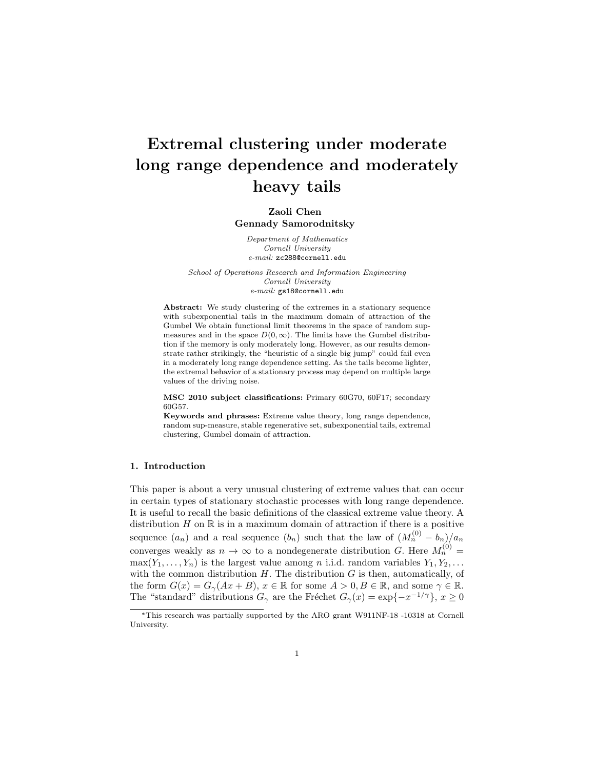# Extremal clustering under moderate long range dependence and moderately heavy tails

# Zaoli Chen Gennady Samorodnitsky

Department of Mathematics Cornell University e-mail: zc288@cornell.edu

School of Operations Research and Information Engineering Cornell University e-mail: gs18@cornell.edu

Abstract: We study clustering of the extremes in a stationary sequence with subexponential tails in the maximum domain of attraction of the Gumbel We obtain functional limit theorems in the space of random supmeasures and in the space  $D(0, \infty)$ . The limits have the Gumbel distribution if the memory is only moderately long. However, as our results demonstrate rather strikingly, the "heuristic of a single big jump" could fail even in a moderately long range dependence setting. As the tails become lighter, the extremal behavior of a stationary process may depend on multiple large values of the driving noise.

MSC 2010 subject classifications: Primary 60G70, 60F17; secondary 60G57.

Keywords and phrases: Extreme value theory, long range dependence, random sup-measure, stable regenerative set, subexponential tails, extremal clustering, Gumbel domain of attraction.

## 1. Introduction

This paper is about a very unusual clustering of extreme values that can occur in certain types of stationary stochastic processes with long range dependence. It is useful to recall the basic definitions of the classical extreme value theory. A distribution  $H$  on  $\mathbb R$  is in a maximum domain of attraction if there is a positive sequence  $(a_n)$  and a real sequence  $(b_n)$  such that the law of  $(M_n^{(0)} - b_n)/a_n$ converges weakly as  $n \to \infty$  to a nondegenerate distribution G. Here  $M_n^{(0)} =$  $\max(Y_1, \ldots, Y_n)$  is the largest value among *n* i.i.d. random variables  $Y_1, Y_2, \ldots$ with the common distribution  $H$ . The distribution  $G$  is then, automatically, of the form  $G(x) = G_{\gamma}(Ax + B)$ ,  $x \in \mathbb{R}$  for some  $A > 0$ ,  $B \in \mathbb{R}$ , and some  $\gamma \in \mathbb{R}$ . The "standard" distributions  $G_{\gamma}$  are the Fréchet  $G_{\gamma}(x) = \exp\{-x^{-1/\gamma}\}, x \ge 0$ 

<sup>∗</sup>This research was partially supported by the ARO grant W911NF-18 -10318 at Cornell University.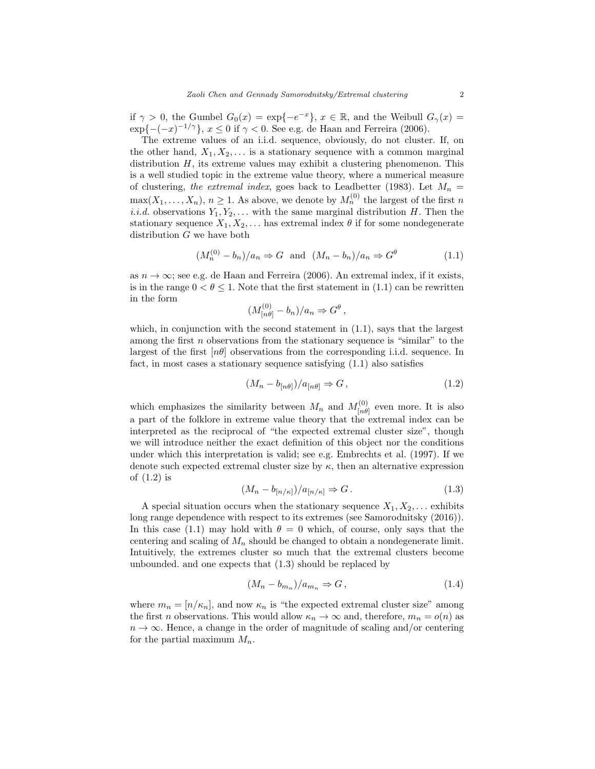if  $\gamma > 0$ , the Gumbel  $G_0(x) = \exp\{-e^{-x}\}, x \in \mathbb{R}$ , and the Weibull  $G_\gamma(x) =$  $\exp\{ -(-x)^{-1/\gamma} \}, x \leq 0$  if  $\gamma < 0$ . See e.g. de Haan and Ferreira (2006).

The extreme values of an i.i.d. sequence, obviously, do not cluster. If, on the other hand,  $X_1, X_2, \ldots$  is a stationary sequence with a common marginal distribution  $H$ , its extreme values may exhibit a clustering phenomenon. This is a well studied topic in the extreme value theory, where a numerical measure of clustering, the extremal index, goes back to Leadbetter (1983). Let  $M_n =$  $\max(X_1, \ldots, X_n), n \geq 1$ . As above, we denote by  $M_n^{(0)}$  the largest of the first n i.i.d. observations  $Y_1, Y_2, \ldots$  with the same marginal distribution H. Then the stationary sequence  $X_1, X_2, \ldots$  has extremal index  $\theta$  if for some nondegenerate distribution  $G$  we have both

$$
(M_n^{(0)} - b_n)/a_n \Rightarrow G \text{ and } (M_n - b_n)/a_n \Rightarrow G^{\theta}
$$
 (1.1)

as  $n \to \infty$ ; see e.g. de Haan and Ferreira (2006). An extremal index, if it exists, is in the range  $0 < \theta \leq 1$ . Note that the first statement in (1.1) can be rewritten in the form

$$
(M^{(0)}_{[n\theta]} - b_n)/a_n \Rightarrow G^{\theta},
$$

which, in conjunction with the second statement in  $(1.1)$ , says that the largest among the first  $n$  observations from the stationary sequence is "similar" to the largest of the first  $[n\theta]$  observations from the corresponding i.i.d. sequence. In fact, in most cases a stationary sequence satisfying (1.1) also satisfies

$$
(M_n - b_{[n\theta]})/a_{[n\theta]} \Rightarrow G,
$$
\n(1.2)

which emphasizes the similarity between  $M_n$  and  $M_{\lfloor n\theta \rfloor}^{(0)}$  $\binom{[0]}{[n\theta]}$  even more. It is also a part of the folklore in extreme value theory that the extremal index can be interpreted as the reciprocal of "the expected extremal cluster size", though we will introduce neither the exact definition of this object nor the conditions under which this interpretation is valid; see e.g. Embrechts et al. (1997). If we denote such expected extremal cluster size by  $\kappa$ , then an alternative expression of (1.2) is

$$
(M_n - b_{[n/\kappa]})/a_{[n/\kappa]} \Rightarrow G. \tag{1.3}
$$

A special situation occurs when the stationary sequence  $X_1, X_2, \ldots$  exhibits long range dependence with respect to its extremes (see Samorodnitsky (2016)). In this case (1.1) may hold with  $\theta = 0$  which, of course, only says that the centering and scaling of  $M_n$  should be changed to obtain a nondegenerate limit. Intuitively, the extremes cluster so much that the extremal clusters become unbounded. and one expects that (1.3) should be replaced by

$$
(M_n - b_{m_n})/a_{m_n} \Rightarrow G,
$$
\n<sup>(1.4)</sup>

where  $m_n = [n/\kappa_n]$ , and now  $\kappa_n$  is "the expected extremal cluster size" among the first *n* observations. This would allow  $\kappa_n \to \infty$  and, therefore,  $m_n = o(n)$  as  $n \to \infty$ . Hence, a change in the order of magnitude of scaling and/or centering for the partial maximum  $M_n$ .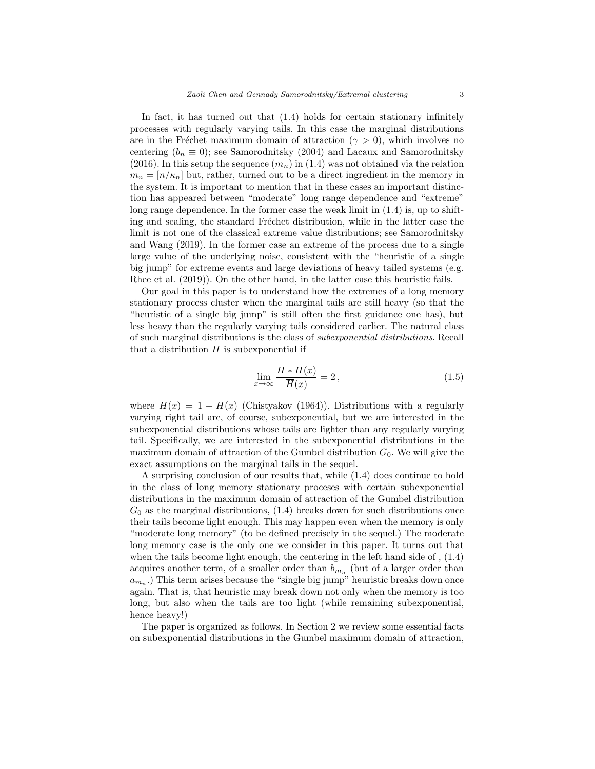In fact, it has turned out that (1.4) holds for certain stationary infinitely processes with regularly varying tails. In this case the marginal distributions are in the Fréchet maximum domain of attraction ( $\gamma > 0$ ), which involves no centering  $(b_n \equiv 0)$ ; see Samorodnitsky (2004) and Lacaux and Samorodnitsky (2016). In this setup the sequence  $(m_n)$  in (1.4) was not obtained via the relation  $m_n = \lfloor n/\kappa_n \rfloor$  but, rather, turned out to be a direct ingredient in the memory in the system. It is important to mention that in these cases an important distinction has appeared between "moderate" long range dependence and "extreme" long range dependence. In the former case the weak limit in  $(1.4)$  is, up to shifting and scaling, the standard Fréchet distribution, while in the latter case the limit is not one of the classical extreme value distributions; see Samorodnitsky and Wang (2019). In the former case an extreme of the process due to a single large value of the underlying noise, consistent with the "heuristic of a single big jump" for extreme events and large deviations of heavy tailed systems (e.g. Rhee et al. (2019)). On the other hand, in the latter case this heuristic fails.

Our goal in this paper is to understand how the extremes of a long memory stationary process cluster when the marginal tails are still heavy (so that the "heuristic of a single big jump" is still often the first guidance one has), but less heavy than the regularly varying tails considered earlier. The natural class of such marginal distributions is the class of subexponential distributions. Recall that a distribution  $H$  is subexponential if

$$
\lim_{x \to \infty} \frac{\overline{H \ast H}(x)}{\overline{H}(x)} = 2, \tag{1.5}
$$

where  $\overline{H}(x) = 1 - H(x)$  (Chistyakov (1964)). Distributions with a regularly varying right tail are, of course, subexponential, but we are interested in the subexponential distributions whose tails are lighter than any regularly varying tail. Specifically, we are interested in the subexponential distributions in the maximum domain of attraction of the Gumbel distribution  $G_0$ . We will give the exact assumptions on the marginal tails in the sequel.

A surprising conclusion of our results that, while (1.4) does continue to hold in the class of long memory stationary proceses with certain subexponential distributions in the maximum domain of attraction of the Gumbel distribution  $G_0$  as the marginal distributions,  $(1.4)$  breaks down for such distributions once their tails become light enough. This may happen even when the memory is only "moderate long memory" (to be defined precisely in the sequel.) The moderate long memory case is the only one we consider in this paper. It turns out that when the tails become light enough, the centering in the left hand side of , (1.4) acquires another term, of a smaller order than  $b_{m_n}$  (but of a larger order than  $a_{m_n}$ .) This term arises because the "single big jump" heuristic breaks down once again. That is, that heuristic may break down not only when the memory is too long, but also when the tails are too light (while remaining subexponential, hence heavy!)

The paper is organized as follows. In Section 2 we review some essential facts on subexponential distributions in the Gumbel maximum domain of attraction,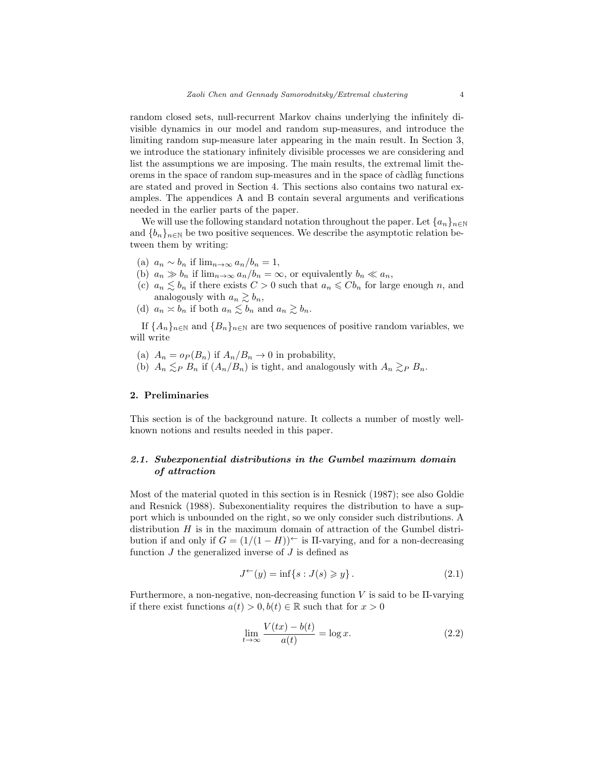random closed sets, null-recurrent Markov chains underlying the infinitely divisible dynamics in our model and random sup-measures, and introduce the limiting random sup-measure later appearing in the main result. In Section 3, we introduce the stationary infinitely divisible processes we are considering and list the assumptions we are imposing. The main results, the extremal limit theorems in the space of random sup-measures and in the space of càdlàg functions are stated and proved in Section 4. This sections also contains two natural examples. The appendices A and B contain several arguments and verifications needed in the earlier parts of the paper.

We will use the following standard notation throughout the paper. Let  ${a_n}_{n\in\mathbb{N}}$ and  ${b_n}_{n\in\mathbb{N}}$  be two positive sequences. We describe the asymptotic relation between them by writing:

- (a)  $a_n \sim b_n$  if  $\lim_{n\to\infty} a_n/b_n = 1$ ,
- (b)  $a_n \gg b_n$  if  $\lim_{n\to\infty} a_n/b_n = \infty$ , or equivalently  $b_n \ll a_n$ ,
- (c)  $a_n \lesssim b_n$  if there exists  $C > 0$  such that  $a_n \leqslant Cb_n$  for large enough n, and analogously with  $a_n \gtrsim b_n$ ,
- (d)  $a_n \n\t\asymp b_n$  if both  $a_n \n\t\lesssim b_n$  and  $a_n \gtrsim b_n$ .

If  ${A_n}_{n\in\mathbb{N}}$  and  ${B_n}_{n\in\mathbb{N}}$  are two sequences of positive random variables, we will write

- (a)  $A_n = o_P(B_n)$  if  $A_n/B_n \to 0$  in probability,
- (b)  $A_n \leq_P B_n$  if  $(A_n/B_n)$  is tight, and analogously with  $A_n \geq_P B_n$ .

# 2. Preliminaries

This section is of the background nature. It collects a number of mostly wellknown notions and results needed in this paper.

# 2.1. Subexponential distributions in the Gumbel maximum domain of attraction

Most of the material quoted in this section is in Resnick (1987); see also Goldie and Resnick (1988). Subexonentiality requires the distribution to have a support which is unbounded on the right, so we only consider such distributions. A distribution  $H$  is in the maximum domain of attraction of the Gumbel distribution if and only if  $G = (1/(1 - H))^{\leftarrow}$  is II-varying, and for a non-decreasing function  $J$  the generalized inverse of  $J$  is defined as

$$
J^{\leftarrow}(y) = \inf\{s : J(s) \ge y\}.
$$
 (2.1)

Furthermore, a non-negative, non-decreasing function V is said to be  $\Pi$ -varying if there exist functions  $a(t) > 0, b(t) \in \mathbb{R}$  such that for  $x > 0$ 

$$
\lim_{t \to \infty} \frac{V(tx) - b(t)}{a(t)} = \log x.
$$
\n(2.2)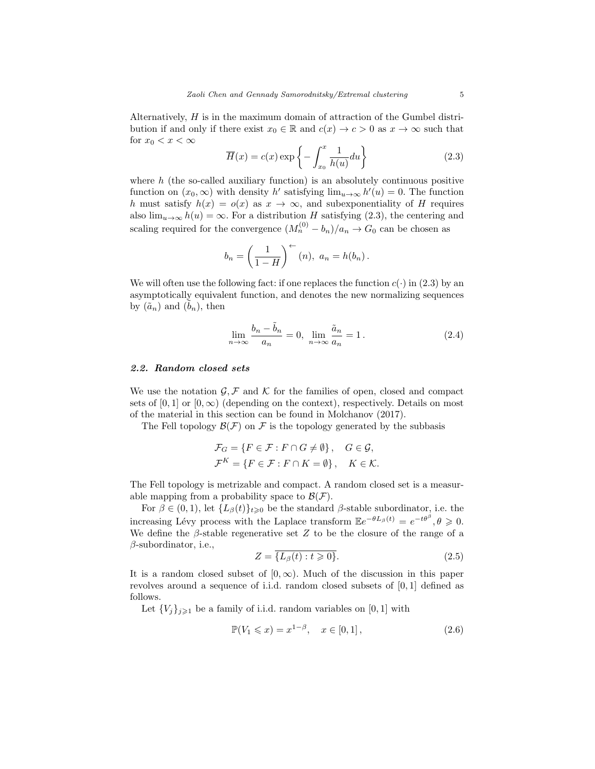Alternatively, H is in the maximum domain of attraction of the Gumbel distribution if and only if there exist  $x_0 \in \mathbb{R}$  and  $c(x) \to c > 0$  as  $x \to \infty$  such that for  $x_0 < x < \infty$ 

$$
\overline{H}(x) = c(x) \exp\left\{-\int_{x_0}^x \frac{1}{h(u)} du\right\}
$$
\n(2.3)

where  $h$  (the so-called auxiliary function) is an absolutely continuous positive function on  $(x_0, \infty)$  with density h' satisfying  $\lim_{u \to \infty} h'(u) = 0$ . The function h must satisfy  $h(x) = o(x)$  as  $x \to \infty$ , and subexponentiality of H requires also  $\lim_{u\to\infty} h(u) = \infty$ . For a distribution H satisfying (2.3), the centering and scaling required for the convergence  $(M_n^{(0)} - b_n)/a_n \to G_0$  can be chosen as

$$
b_n = \left(\frac{1}{1-H}\right)^{n} (n), \ a_n = h(b_n).
$$

We will often use the following fact: if one replaces the function  $c(\cdot)$  in (2.3) by an asymptotically equivalent function, and denotes the new normalizing sequences by  $(\tilde{a}_n)$  and  $(b_n)$ , then

$$
\lim_{n \to \infty} \frac{b_n - \tilde{b}_n}{a_n} = 0, \lim_{n \to \infty} \frac{\tilde{a}_n}{a_n} = 1.
$$
\n(2.4)

## 2.2. Random closed sets

We use the notation  $\mathcal{G}, \mathcal{F}$  and K for the families of open, closed and compact sets of [0, 1] or  $[0, \infty)$  (depending on the context), respectively. Details on most of the material in this section can be found in Molchanov (2017).

The Fell topology  $\mathcal{B}(\mathcal{F})$  on  $\mathcal F$  is the topology generated by the subbasis

$$
\mathcal{F}_G = \{ F \in \mathcal{F} : F \cap G \neq \emptyset \}, \quad G \in \mathcal{G},
$$
  

$$
\mathcal{F}^K = \{ F \in \mathcal{F} : F \cap K = \emptyset \}, \quad K \in \mathcal{K}.
$$

The Fell topology is metrizable and compact. A random closed set is a measurable mapping from a probability space to  $\mathcal{B}(\mathcal{F})$ .

For  $\beta \in (0,1)$ , let  $\{L_{\beta}(t)\}_{t\geq 0}$  be the standard  $\beta$ -stable subordinator, i.e. the increasing Lévy process with the Laplace transform  $\mathbb{E}e^{-\theta L_{\beta}(t)} = e^{-t\theta^{\beta}}, \theta \geq 0$ . We define the  $\beta$ -stable regenerative set Z to be the closure of the range of a  $\beta$ -subordinator, i.e.,

$$
Z = \overline{\{L_{\beta}(t) : t \geq 0\}}.\tag{2.5}
$$

It is a random closed subset of  $[0, \infty)$ . Much of the discussion in this paper revolves around a sequence of i.i.d. random closed subsets of [0, 1] defined as follows.

Let  ${V_i}_{i\geqslant1}$  be a family of i.i.d. random variables on [0, 1] with

$$
\mathbb{P}(V_1 \leq x) = x^{1-\beta}, \quad x \in [0,1], \tag{2.6}
$$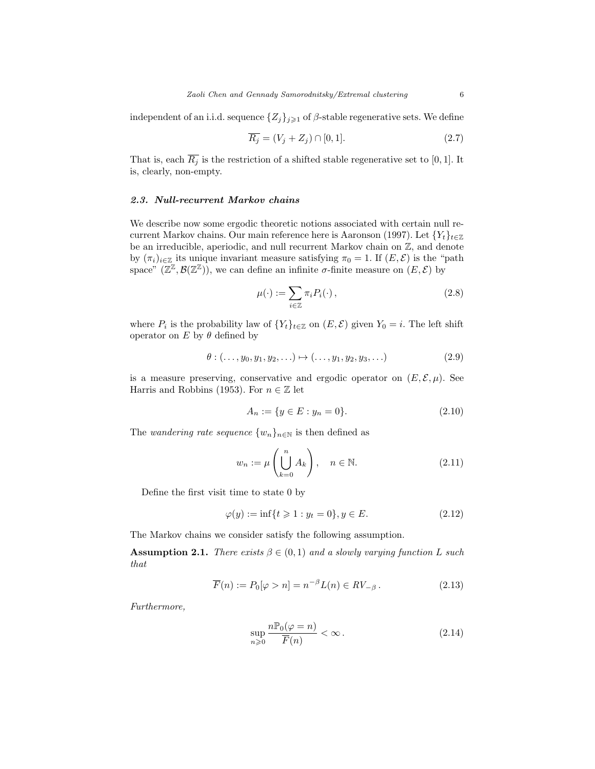independent of an i.i.d. sequence  $\{Z_j\}_{j\geqslant 1}$  of  $\beta$ -stable regenerative sets. We define

$$
\overline{R_j} = (V_j + Z_j) \cap [0, 1].\tag{2.7}
$$

That is, each  $\overline{R_j}$  is the restriction of a shifted stable regenerative set to [0, 1]. It is, clearly, non-empty.

## 2.3. Null-recurrent Markov chains

We describe now some ergodic theoretic notions associated with certain null recurrent Markov chains. Our main reference here is Aaronson (1997). Let  ${Y_t}_{t \in \mathbb{Z}}$ be an irreducible, aperiodic, and null recurrent Markov chain on Z, and denote by  $(\pi_i)_{i\in\mathbb{Z}}$  its unique invariant measure satisfying  $\pi_0 = 1$ . If  $(E, \mathcal{E})$  is the "path space"  $(\mathbb{Z}^{\mathbb{Z}}, \mathcal{B}(\mathbb{Z}^{\mathbb{Z}}))$ , we can define an infinite  $\sigma$ -finite measure on  $(E, \mathcal{E})$  by

$$
\mu(\cdot) := \sum_{i \in \mathbb{Z}} \pi_i P_i(\cdot) \,, \tag{2.8}
$$

where  $P_i$  is the probability law of  $\{Y_t\}_{t\in\mathbb{Z}}$  on  $(E,\mathcal{E})$  given  $Y_0 = i$ . The left shift operator on E by  $\theta$  defined by

$$
\theta: (\ldots, y_0, y_1, y_2, \ldots) \mapsto (\ldots, y_1, y_2, y_3, \ldots) \tag{2.9}
$$

is a measure preserving, conservative and ergodic operator on  $(E, \mathcal{E}, \mu)$ . See Harris and Robbins (1953). For  $n \in \mathbb{Z}$  let

$$
A_n := \{ y \in E : y_n = 0 \}. \tag{2.10}
$$

The wandering rate sequence  $\{w_n\}_{n\in\mathbb{N}}$  is then defined as

$$
w_n := \mu\left(\bigcup_{k=0}^n A_k\right), \quad n \in \mathbb{N}.\tag{2.11}
$$

Define the first visit time to state 0 by

$$
\varphi(y) := \inf\{t \geq 1 : y_t = 0\}, y \in E. \tag{2.12}
$$

The Markov chains we consider satisfy the following assumption.

**Assumption 2.1.** There exists  $\beta \in (0,1)$  and a slowly varying function L such that

$$
\overline{F}(n) := P_0[\varphi > n] = n^{-\beta} L(n) \in RV_{-\beta}.
$$
\n(2.13)

Furthermore,

$$
\sup_{n\geqslant 0} \frac{n\mathbb{P}_0(\varphi = n)}{\overline{F}(n)} < \infty. \tag{2.14}
$$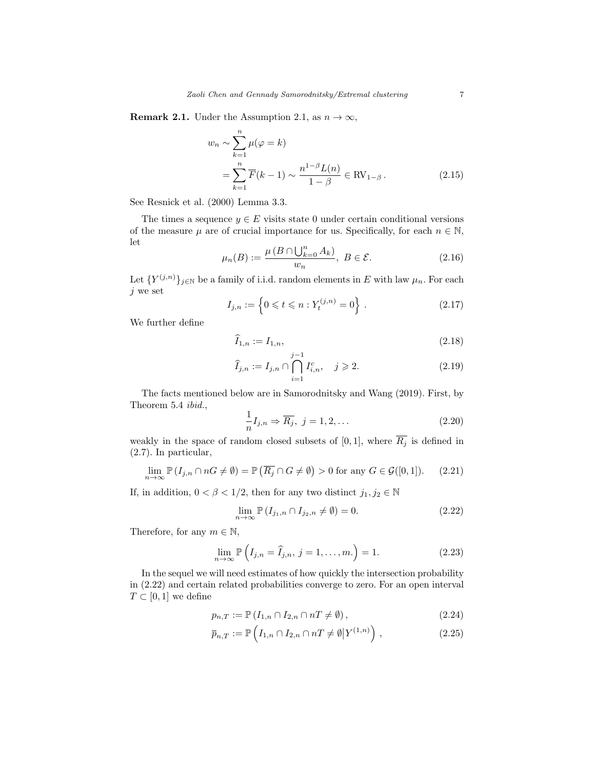**Remark 2.1.** Under the Assumption 2.1, as  $n \to \infty$ ,

$$
w_n \sim \sum_{k=1}^n \mu(\varphi = k)
$$
  
= 
$$
\sum_{k=1}^n \overline{F}(k-1) \sim \frac{n^{1-\beta} L(n)}{1-\beta} \in \text{RV}_{1-\beta}.
$$
 (2.15)

See Resnick et al. (2000) Lemma 3.3.

The times a sequence  $y \in E$  visits state 0 under certain conditional versions of the measure  $\mu$  are of crucial importance for us. Specifically, for each  $n \in \mathbb{N}$ , let

$$
\mu_n(B) := \frac{\mu(B \cap \bigcup_{k=0}^n A_k)}{w_n}, \ B \in \mathcal{E}.
$$
\n(2.16)

Let  $\{Y^{(j,n)}\}_{j\in\mathbb{N}}$  be a family of i.i.d. random elements in E with law  $\mu_n$ . For each  $j$  we set

$$
I_{j,n} := \left\{ 0 \leqslant t \leqslant n : Y_t^{(j,n)} = 0 \right\} . \tag{2.17}
$$

We further define

$$
\widehat{I}_{1,n} := I_{1,n},\tag{2.18}
$$

$$
\widehat{I}_{j,n} := I_{j,n} \cap \bigcap_{i=1}^{j-1} I_{i,n}^c, \quad j \geqslant 2. \tag{2.19}
$$

The facts mentioned below are in Samorodnitsky and Wang (2019). First, by Theorem 5.4 ibid., 1

$$
\frac{1}{n}I_{j,n} \Rightarrow \overline{R_j}, \ j = 1, 2, \dots \tag{2.20}
$$

weakly in the space of random closed subsets of [0, 1], where  $\overline{R_j}$  is defined in (2.7). In particular,

$$
\lim_{n \to \infty} \mathbb{P}\left(I_{j,n} \cap nG \neq \emptyset\right) = \mathbb{P}\left(\overline{R_j} \cap G \neq \emptyset\right) > 0 \text{ for any } G \in \mathcal{G}([0,1]).\tag{2.21}
$$

If, in addition,  $0 < \beta < 1/2$ , then for any two distinct  $j_1, j_2 \in \mathbb{N}$ 

$$
\lim_{n \to \infty} \mathbb{P}\left(I_{j_1,n} \cap I_{j_2,n} \neq \emptyset\right) = 0. \tag{2.22}
$$

Therefore, for any  $m \in \mathbb{N}$ ,

$$
\lim_{n \to \infty} \mathbb{P}\left(I_{j,n} = \widehat{I}_{j,n}, j = 1, \dots, m.\right) = 1.
$$
\n(2.23)

In the sequel we will need estimates of how quickly the intersection probability in (2.22) and certain related probabilities converge to zero. For an open interval  $T \subset [0,1]$  we define

$$
p_{n,T} := \mathbb{P}\left(I_{1,n} \cap I_{2,n} \cap nT \neq \emptyset\right),\tag{2.24}
$$

$$
\overline{p}_{n,T} := \mathbb{P}\left(I_{1,n} \cap I_{2,n} \cap nT \neq \emptyset | Y^{(1,n)}\right),\tag{2.25}
$$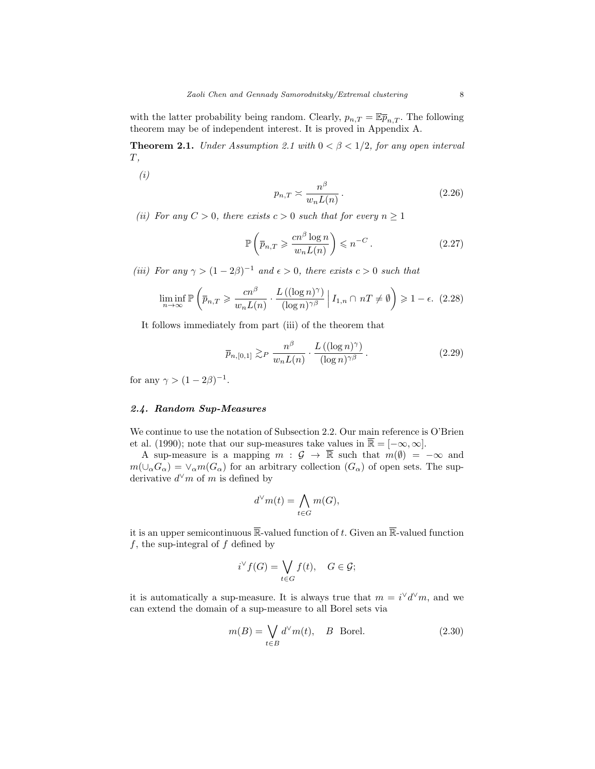with the latter probability being random. Clearly,  $p_{n,T} = \mathbb{E} \overline{p}_{n,T}$ . The following theorem may be of independent interest. It is proved in Appendix A.

**Theorem 2.1.** Under Assumption 2.1 with  $0 < \beta < 1/2$ , for any open interval  $T,$ 

(i)

$$
p_{n,T} \asymp \frac{n^{\beta}}{w_n L(n)}.
$$
\n(2.26)

(ii) For any  $C > 0$ , there exists  $c > 0$  such that for every  $n \ge 1$ 

$$
\mathbb{P}\left(\overline{p}_{n,T} \geqslant \frac{cn^{\beta}\log n}{w_n L(n)}\right) \leqslant n^{-C}.
$$
\n(2.27)

(iii) For any  $\gamma > (1 - 2\beta)^{-1}$  and  $\epsilon > 0$ , there exists  $c > 0$  such that

$$
\liminf_{n \to \infty} \mathbb{P}\left(\overline{p}_{n,T} \geqslant \frac{cn^{\beta}}{w_n L(n)} \cdot \frac{L\left((\log n)^{\gamma}\right)}{(\log n)^{\gamma \beta}} \middle| I_{1,n} \cap nT \neq \emptyset \right) \geqslant 1 - \epsilon. \tag{2.28}
$$

It follows immediately from part (iii) of the theorem that

$$
\overline{p}_{n,[0,1]} \gtrsim_{P} \frac{n^{\beta}}{w_{n}L(n)} \cdot \frac{L\left((\log n)^{\gamma}\right)}{(\log n)^{\gamma\beta}}.
$$
\n(2.29)

for any  $\gamma > (1 - 2\beta)^{-1}$ .

#### 2.4. Random Sup-Measures

We continue to use the notation of Subsection 2.2. Our main reference is O'Brien et al. (1990); note that our sup-measures take values in  $\overline{\mathbb{R}} = [-\infty, \infty]$ .

A sup-measure is a mapping  $m : \mathcal{G} \to \overline{\mathbb{R}}$  such that  $m(\emptyset) = -\infty$  and  $m(\cup_{\alpha}G_{\alpha})=\vee_{\alpha}m(G_{\alpha})$  for an arbitrary collection  $(G_{\alpha})$  of open sets. The supderivative  $d^{\vee}m$  of m is defined by

$$
d^\vee m(t) = \bigwedge_{t \in G} m(G),
$$

it is an upper semicontinuous  $\overline{\mathbb{R}}$ -valued function of t. Given an  $\overline{\mathbb{R}}$ -valued function  $f$ , the sup-integral of  $f$  defined by

$$
i^{\vee} f(G) = \bigvee_{t \in G} f(t), \quad G \in \mathcal{G};
$$

it is automatically a sup-measure. It is always true that  $m = i^{\vee} d^{\vee} m$ , and we can extend the domain of a sup-measure to all Borel sets via

$$
m(B) = \bigvee_{t \in B} d^{\vee} m(t), \quad B \text{ Borel.} \tag{2.30}
$$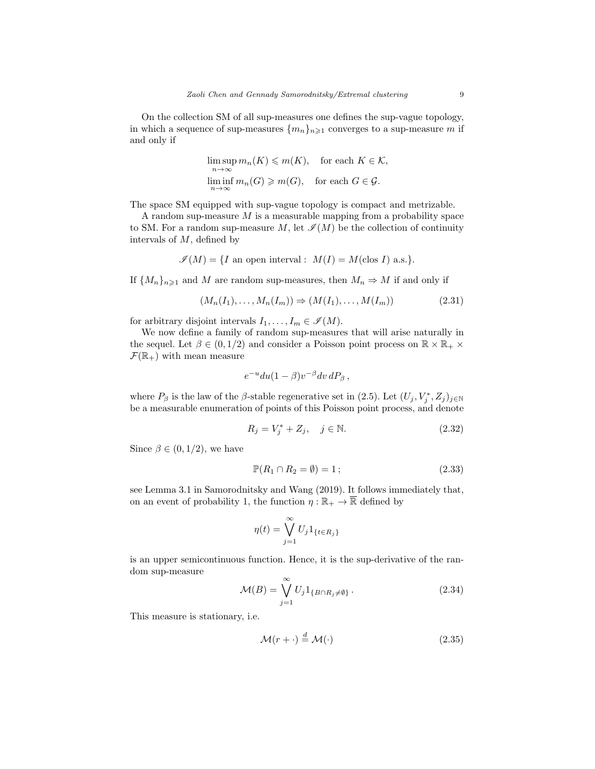On the collection SM of all sup-measures one defines the sup-vague topology, in which a sequence of sup-measures  $\{m_n\}_{n\geq 1}$  converges to a sup-measure m if and only if

$$
\limsup_{n \to \infty} m_n(K) \leq m(K), \quad \text{for each } K \in \mathcal{K},
$$
  

$$
\liminf_{n \to \infty} m_n(G) \geq m(G), \quad \text{for each } G \in \mathcal{G}.
$$

The space SM equipped with sup-vague topology is compact and metrizable.

A random sup-measure  $M$  is a measurable mapping from a probability space to SM. For a random sup-measure M, let  $\mathcal{I}(M)$  be the collection of continuity intervals of M, defined by

$$
\mathcal{I}(M) = \{ I \text{ an open interval} : M(I) = M(\text{clos } I) \text{ a.s.} \}.
$$

If  ${M_n}_{n\geq 1}$  and M are random sup-measures, then  $M_n \Rightarrow M$  if and only if

$$
(M_n(I_1),\ldots,M_n(I_m)) \Rightarrow (M(I_1),\ldots,M(I_m))
$$
\n
$$
(2.31)
$$

for arbitrary disjoint intervals  $I_1, \ldots, I_m \in \mathscr{I}(M)$ .

We now define a family of random sup-measures that will arise naturally in the sequel. Let  $\beta \in (0, 1/2)$  and consider a Poisson point process on  $\mathbb{R} \times \mathbb{R}_+$  $\mathcal{F}(\mathbb{R}_+)$  with mean measure

$$
e^{-u} du (1 - \beta) v^{-\beta} dv dP_{\beta} ,
$$

where  $P_{\beta}$  is the law of the  $\beta$ -stable regenerative set in (2.5). Let  $(U_j, V_j^*, Z_j)_{j \in \mathbb{N}}$ be a measurable enumeration of points of this Poisson point process, and denote

$$
R_j = V_j^* + Z_j, \quad j \in \mathbb{N}.\tag{2.32}
$$

Since  $\beta \in (0, 1/2)$ , we have

$$
\mathbb{P}(R_1 \cap R_2 = \emptyset) = 1; \tag{2.33}
$$

see Lemma 3.1 in Samorodnitsky and Wang (2019). It follows immediately that, on an event of probability 1, the function  $\eta : \mathbb{R}_+ \to \overline{\mathbb{R}}$  defined by

$$
\eta(t) = \bigvee_{j=1}^{\infty} U_j 1_{\{t \in R_j\}}
$$

is an upper semicontinuous function. Hence, it is the sup-derivative of the random sup-measure

$$
\mathcal{M}(B) = \bigvee_{j=1}^{\infty} U_j 1_{\{B \cap R_j \neq \emptyset\}}.
$$
\n(2.34)

This measure is stationary, i.e.

$$
\mathcal{M}(r + \cdot) \stackrel{d}{=} \mathcal{M}(\cdot) \tag{2.35}
$$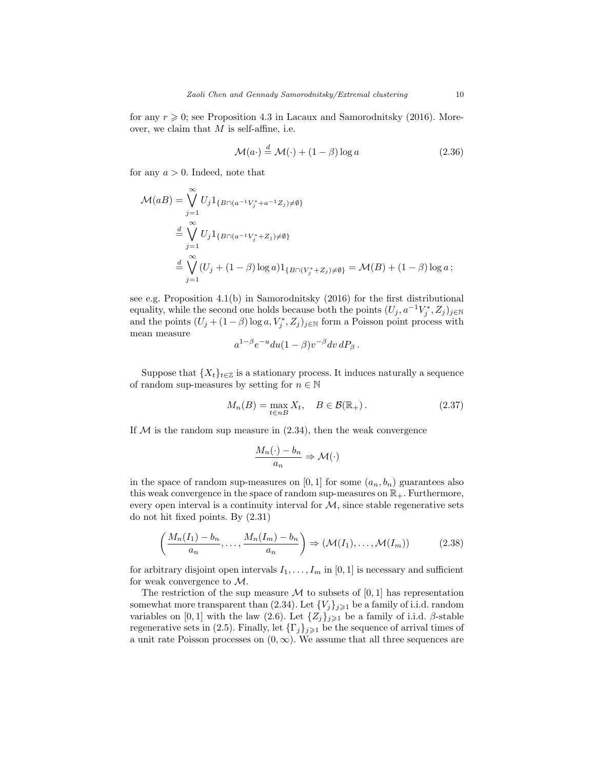for any  $r \geq 0$ ; see Proposition 4.3 in Lacaux and Samorodnitsky (2016). Moreover, we claim that  $M$  is self-affine, i.e.

$$
\mathcal{M}(a \cdot) \stackrel{d}{=} \mathcal{M}(\cdot) + (1 - \beta) \log a \tag{2.36}
$$

for any  $a > 0$ . Indeed, note that

$$
\mathcal{M}(aB) = \bigvee_{j=1}^{\infty} U_j 1_{\{B \cap (a^{-1}V_j^* + a^{-1}Z_j) \neq \emptyset\}}
$$
  

$$
= \bigvee_{j=1}^{\infty} U_j 1_{\{B \cap (a^{-1}V_j^* + Z_j) \neq \emptyset\}}
$$
  

$$
= \bigvee_{j=1}^{\infty} (U_j + (1 - \beta) \log a) 1_{\{B \cap (V_j^* + Z_j) \neq \emptyset\}} = \mathcal{M}(B) + (1 - \beta) \log a;
$$

see e.g. Proposition 4.1(b) in Samorodnitsky (2016) for the first distributional equality, while the second one holds because both the points  $(U_j, a^{-1}V_j^*, Z_j)_{j \in \mathbb{N}}$ and the points  $(U_j + (1 - \beta) \log a, V_j^*, Z_j)_{j \in \mathbb{N}}$  form a Poisson point process with mean measure

$$
a^{1-\beta}e^{-u}du(1-\beta)v^{-\beta}dv\,dP_{\beta}
$$

Suppose that  $\{X_t\}_{t\in\mathbb{Z}}$  is a stationary process. It induces naturally a sequence of random sup-measures by setting for  $n \in \mathbb{N}$ 

$$
M_n(B) = \max_{t \in nB} X_t, \quad B \in \mathcal{B}(\mathbb{R}_+).
$$
 (2.37)

If  $M$  is the random sup measure in  $(2.34)$ , then the weak convergence

$$
\frac{M_n(\cdot) - b_n}{a_n} \Rightarrow \mathcal{M}(\cdot)
$$

in the space of random sup-measures on [0, 1] for some  $(a_n, b_n)$  guarantees also this weak convergence in the space of random sup-measures on  $\mathbb{R}_+$ . Furthermore, every open interval is a continuity interval for  $M$ , since stable regenerative sets do not hit fixed points. By (2.31)

$$
\left(\frac{M_n(I_1) - b_n}{a_n}, \dots, \frac{M_n(I_m) - b_n}{a_n}\right) \Rightarrow (\mathcal{M}(I_1), \dots, \mathcal{M}(I_m))
$$
\n(2.38)

for arbitrary disjoint open intervals  $I_1, \ldots, I_m$  in [0, 1] is necessary and sufficient for weak convergence to  $\mathcal{M}$ .

The restriction of the sup measure  $\mathcal M$  to subsets of [0, 1] has representation somewhat more transparent than (2.34). Let  ${V_j}_{j\geqslant1}$  be a family of i.i.d. random variables on [0, 1] with the law (2.6). Let  $\{Z_j\}_{j\geqslant 1}$  be a family of i.i.d. β-stable regenerative sets in (2.5). Finally, let  $\{\Gamma_j\}_{j\geqslant 1}$  be the sequence of arrival times of a unit rate Poisson processes on  $(0, \infty)$ . We assume that all three sequences are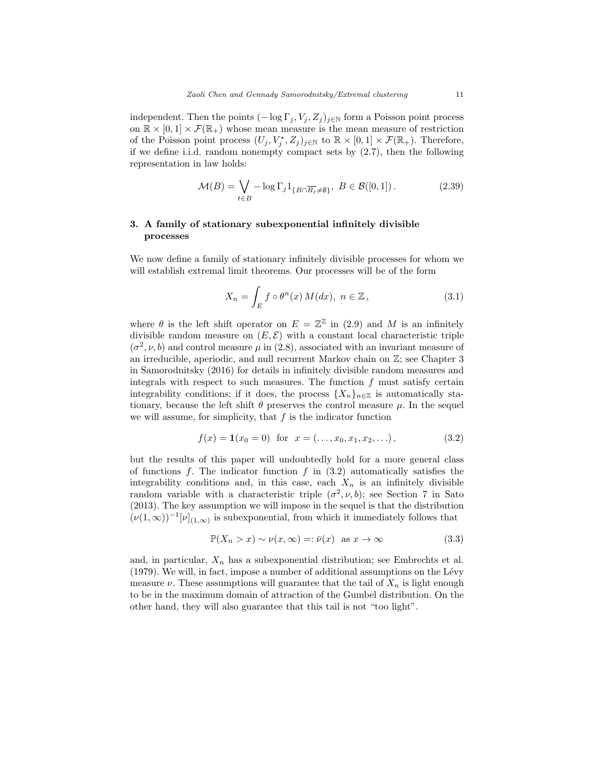independent. Then the points  $(-\log \Gamma_j, V_j, Z_j)_{j \in \mathbb{N}}$  form a Poisson point process on  $\mathbb{R} \times [0,1] \times \mathcal{F}(\mathbb{R}_+)$  whose mean measure is the mean measure of restriction of the Poisson point process  $(U_j, V_j^*, Z_j)_{j \in \mathbb{N}}$  to  $\mathbb{R} \times [0,1] \times \mathcal{F}(\mathbb{R}_+)$ . Therefore, if we define i.i.d. random nonempty compact sets by (2.7), then the following representation in law holds:

$$
\mathcal{M}(B) = \bigvee_{t \in B} -\log \Gamma_j 1_{\{B \cap \overline{R_j} \neq \emptyset\}}, \ B \in \mathcal{B}([0,1]) \,. \tag{2.39}
$$

# 3. A family of stationary subexponential infinitely divisible processes

We now define a family of stationary infinitely divisible processes for whom we will establish extremal limit theorems. Our processes will be of the form

$$
X_n = \int_E f \circ \theta^n(x) M(dx), \ n \in \mathbb{Z}, \tag{3.1}
$$

where  $\theta$  is the left shift operator on  $E = \mathbb{Z}^{\mathbb{Z}}$  in (2.9) and M is an infinitely divisible random measure on  $(E, \mathcal{E})$  with a constant local characteristic triple  $(\sigma^2, \nu, b)$  and control measure  $\mu$  in (2.8), associated with an invariant measure of an irreducible, aperiodic, and null recurrent Markov chain on Z; see Chapter 3 in Samorodnitsky (2016) for details in infinitely divisible random measures and integrals with respect to such measures. The function  $f$  must satisfy certain integrability conditions; if it does, the process  $\{X_n\}_{n\in\mathbb{Z}}$  is automatically stationary, because the left shift  $\theta$  preserves the control measure  $\mu$ . In the sequel we will assume, for simplicity, that  $f$  is the indicator function

$$
f(x) = \mathbf{1}(x_0 = 0) \text{ for } x = (\dots, x_0, x_1, x_2, \dots), \tag{3.2}
$$

but the results of this paper will undoubtedly hold for a more general class of functions  $f$ . The indicator function  $f$  in  $(3.2)$  automatically satisfies the integrability conditions and, in this case, each  $X_n$  is an infinitely divisible random variable with a characteristic triple  $(\sigma^2, \nu, b)$ ; see Section 7 in Sato (2013). The key assumption we will impose in the sequel is that the distribution  $(\nu(1,\infty))^{-1}[\nu]_{(1,\infty)}$  is subexponential, from which it immediately follows that

$$
\mathbb{P}(X_n > x) \sim \nu(x, \infty) =: \bar{\nu}(x) \text{ as } x \to \infty \tag{3.3}
$$

and, in particular,  $X_n$  has a subexponential distribution; see Embrechts et al.  $(1979)$ . We will, in fact, impose a number of additional assumptions on the Lévy measure  $\nu$ . These assumptions will guarantee that the tail of  $X_n$  is light enough to be in the maximum domain of attraction of the Gumbel distribution. On the other hand, they will also guarantee that this tail is not "too light".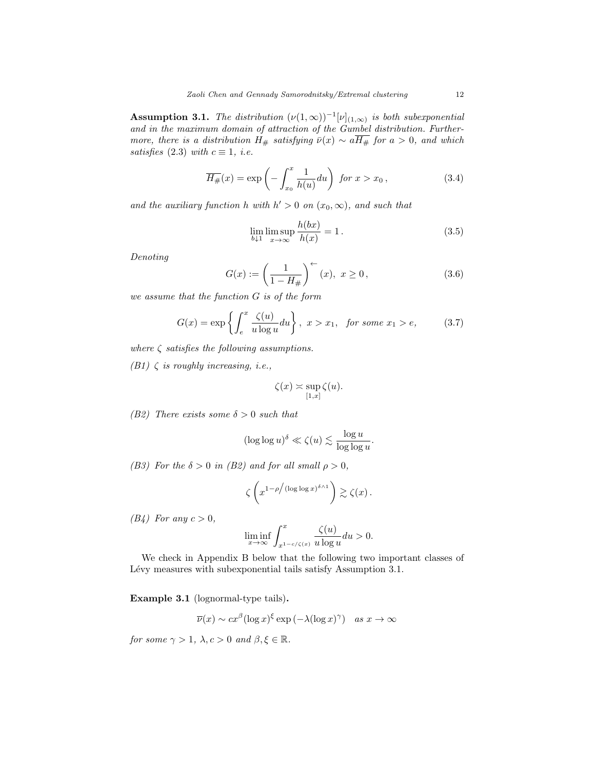**Assumption 3.1.** The distribution  $(\nu(1,\infty))^{-1}[\nu]_{(1,\infty)}$  is both suberponential and in the maximum domain of attraction of the Gumbel distribution. Furthermore, there is a distribution  $H_{#}$  satisfying  $\bar{\nu}(x) \sim a\overline{H_{#}}$  for  $a > 0$ , and which satisfies (2.3) with  $c \equiv 1$ , *i.e.* 

$$
\overline{H_{\#}}(x) = \exp\left(-\int_{x_0}^x \frac{1}{h(u)} du\right) \text{ for } x > x_0,
$$
\n(3.4)

and the auxiliary function h with  $h' > 0$  on  $(x_0, \infty)$ , and such that

$$
\lim_{b \downarrow 1} \limsup_{x \to \infty} \frac{h(bx)}{h(x)} = 1.
$$
\n(3.5)

Denoting

$$
G(x) := \left(\frac{1}{1 - H_{\#}}\right)^{+}(x), \ x \ge 0, \tag{3.6}
$$

we assume that the function G is of the form

$$
G(x) = \exp\left\{ \int_{e}^{x} \frac{\zeta(u)}{u \log u} du \right\}, \ x > x_1, \ \text{for some } x_1 > e,
$$
 (3.7)

where  $\zeta$  satisfies the following assumptions.

(B1)  $\zeta$  is roughly increasing, i.e.,

$$
\zeta(x) \asymp \sup_{[1,x]} \zeta(u).
$$

(B2) There exists some  $\delta > 0$  such that

$$
(\log \log u)^{\delta} \ll \zeta(u) \lesssim \frac{\log u}{\log \log u}.
$$

(B3) For the  $\delta > 0$  in (B2) and for all small  $\rho > 0$ ,

$$
\zeta\left(x^{1-\rho/(\log\log x)^{\delta \wedge 1}}\right) \gtrsim \zeta(x).
$$

 $(B4)$  For any  $c > 0$ ,

$$
\liminf_{x \to \infty} \int_{x^{1-c/\zeta(x)}}^{x} \frac{\zeta(u)}{u \log u} du > 0.
$$

We check in Appendix B below that the following two important classes of Lévy measures with subexponential tails satisfy Assumption 3.1.

Example 3.1 (lognormal-type tails).

$$
\overline{\nu}(x) \sim cx^{\beta} (\log x)^{\xi} \exp(-\lambda(\log x)^{\gamma})
$$
 as  $x \to \infty$ 

for some  $\gamma > 1$ ,  $\lambda, c > 0$  and  $\beta, \xi \in \mathbb{R}$ .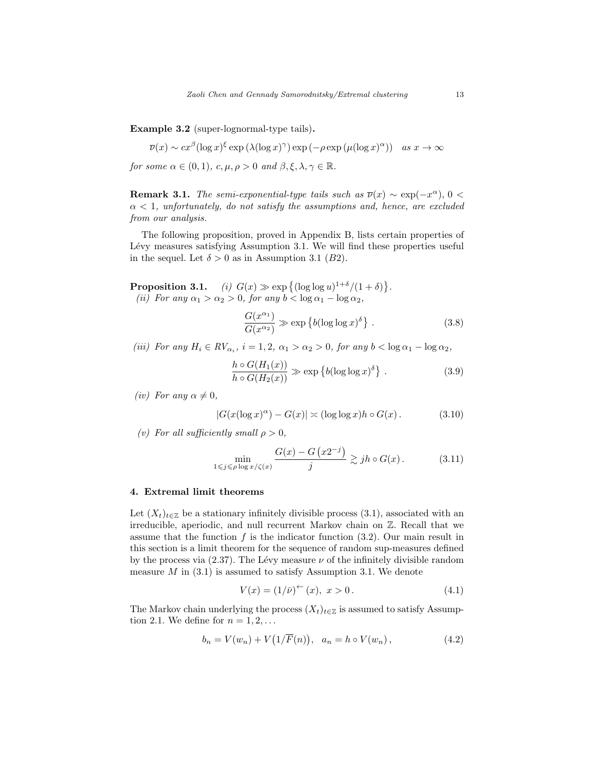Example 3.2 (super-lognormal-type tails).

$$
\overline{\nu}(x) \sim cx^{\beta} (\log x)^{\xi} \exp \left(\lambda (\log x)^{\gamma}\right) \exp \left(-\rho \exp \left(\mu (\log x)^{\alpha}\right)\right) \quad \text{as } x \to \infty
$$

for some  $\alpha \in (0,1)$ ,  $c, \mu, \rho > 0$  and  $\beta, \xi, \lambda, \gamma \in \mathbb{R}$ .

**Remark 3.1.** The semi-exponential-type tails such as  $\overline{\nu}(x) \sim \exp(-x^{\alpha})$ , 0 <  $\alpha$  < 1, unfortunately, do not satisfy the assumptions and, hence, are excluded from our analysis.

The following proposition, proved in Appendix B, lists certain properties of Lévy measures satisfying Assumption 3.1. We will find these properties useful in the sequel. Let  $\delta > 0$  as in Assumption 3.1 (B2).

**Proposition 3.1.** (i)  $G(x) \gg \exp \{(\log \log u)^{1+\delta}/(1+\delta)\}.$ (ii) For any  $\alpha_1 > \alpha_2 > 0$ , for any  $b < \log \alpha_1 - \log \alpha_2$ ,

$$
\frac{G(x^{\alpha_1})}{G(x^{\alpha_2})} \gg \exp\left\{b(\log \log x)^{\delta}\right\}.
$$
 (3.8)

(iii) For any  $H_i \in RV_{\alpha_i}$ ,  $i = 1, 2, \alpha_1 > \alpha_2 > 0$ , for any  $b < \log \alpha_1 - \log \alpha_2$ ,

$$
\frac{h \circ G(H_1(x))}{h \circ G(H_2(x))} \gg \exp\left\{b(\log \log x)^{\delta}\right\}.
$$
 (3.9)

(iv) For any  $\alpha \neq 0$ ,

$$
|G(x(\log x)^\alpha) - G(x)| \asymp (\log \log x)h \circ G(x). \tag{3.10}
$$

(v) For all sufficiently small  $\rho > 0$ ,

$$
\min_{1 \le j \le \rho \log x/\zeta(x)} \frac{G(x) - G(x^{2-j})}{j} \gtrsim jh \circ G(x). \tag{3.11}
$$

## 4. Extremal limit theorems

Let  $(X_t)_{t\in\mathbb{Z}}$  be a stationary infinitely divisible process (3.1), associated with an irreducible, aperiodic, and null recurrent Markov chain on Z. Recall that we assume that the function  $f$  is the indicator function  $(3.2)$ . Our main result in this section is a limit theorem for the sequence of random sup-measures defined by the process via (2.37). The Lévy measure  $\nu$  of the infinitely divisible random measure  $M$  in  $(3.1)$  is assumed to satisfy Assumption 3.1. We denote

$$
V(x) = (1/\bar{\nu})^{\leftarrow}(x), \ x > 0. \tag{4.1}
$$

The Markov chain underlying the process  $(X_t)_{t\in\mathbb{Z}}$  is assumed to satisfy Assumption 2.1. We define for  $n = 1, 2, \ldots$ 

$$
b_n = V(w_n) + V(1/\overline{F}(n)), \quad a_n = h \circ V(w_n), \tag{4.2}
$$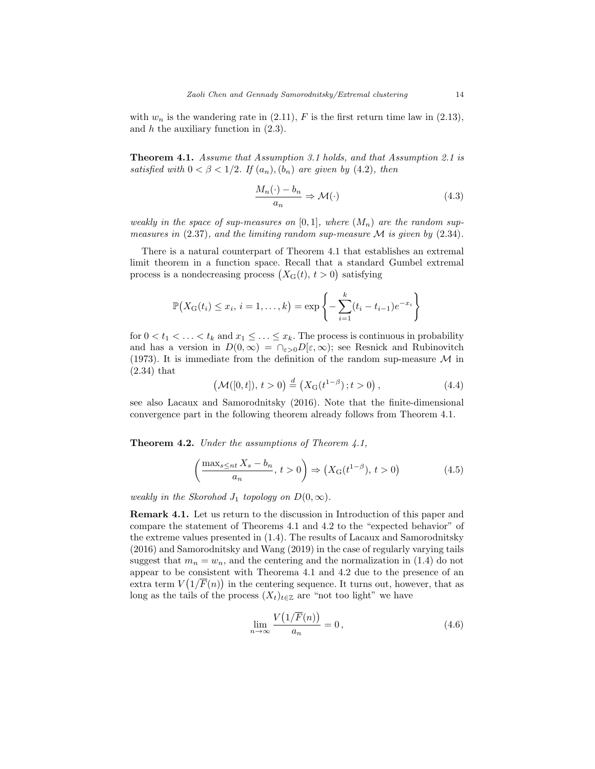with  $w_n$  is the wandering rate in (2.11), F is the first return time law in (2.13), and  $h$  the auxiliary function in  $(2.3)$ .

Theorem 4.1. Assume that Assumption 3.1 holds, and that Assumption 2.1 is satisfied with  $0 < \beta < 1/2$ . If  $(a_n)$ ,  $(b_n)$  are given by (4.2), then

$$
\frac{M_n(\cdot) - b_n}{a_n} \Rightarrow \mathcal{M}(\cdot) \tag{4.3}
$$

weakly in the space of sup-measures on [0, 1], where  $(M_n)$  are the random supmeasures in  $(2.37)$ , and the limiting random sup-measure  $\mathcal M$  is given by  $(2.34)$ .

There is a natural counterpart of Theorem 4.1 that establishes an extremal limit theorem in a function space. Recall that a standard Gumbel extremal process is a nondecreasing process  $(X_G(t), t > 0)$  satisfying

$$
\mathbb{P}(X_{\mathrm{G}}(t_i) \leq x_i, i = 1, ..., k) = \exp\left\{-\sum_{i=1}^k (t_i - t_{i-1})e^{-x_i}\right\}
$$

for  $0 < t_1 < \ldots < t_k$  and  $x_1 \leq \ldots \leq x_k$ . The process is continuous in probability and has a version in  $D(0,\infty) = \bigcap_{\varepsilon > 0} D[\varepsilon,\infty)$ ; see Resnick and Rubinovitch (1973). It is immediate from the definition of the random sup-measure  $\mathcal M$  in (2.34) that

$$
\left(\mathcal{M}([0,t]),\,t>0\right) \stackrel{d}{=} \left(X_{\mathcal{G}}(t^{1-\beta});\,t>0\right),\tag{4.4}
$$

see also Lacaux and Samorodnitsky (2016). Note that the finite-dimensional convergence part in the following theorem already follows from Theorem 4.1.

**Theorem 4.2.** Under the assumptions of Theorem  $4.1$ ,

$$
\left(\frac{\max_{s\le nt} X_s - b_n}{a_n}, t > 0\right) \Rightarrow \left(X_G(t^{1-\beta}), t > 0\right) \tag{4.5}
$$

weakly in the Skorohod  $J_1$  topology on  $D(0,\infty)$ .

Remark 4.1. Let us return to the discussion in Introduction of this paper and compare the statement of Theorems 4.1 and 4.2 to the "expected behavior" of the extreme values presented in (1.4). The results of Lacaux and Samorodnitsky (2016) and Samorodnitsky and Wang (2019) in the case of regularly varying tails suggest that  $m_n = w_n$ , and the centering and the normalization in (1.4) do not appear to be consistent with Theorema 4.1 and 4.2 due to the presence of an extra term  $V(1/\overline{F}(n))$  in the centering sequence. It turns out, however, that as long as the tails of the process  $(X_t)_{t\in\mathbb{Z}}$  are "not too light" we have

$$
\lim_{n \to \infty} \frac{V\left(1/\overline{F}(n)\right)}{a_n} = 0, \tag{4.6}
$$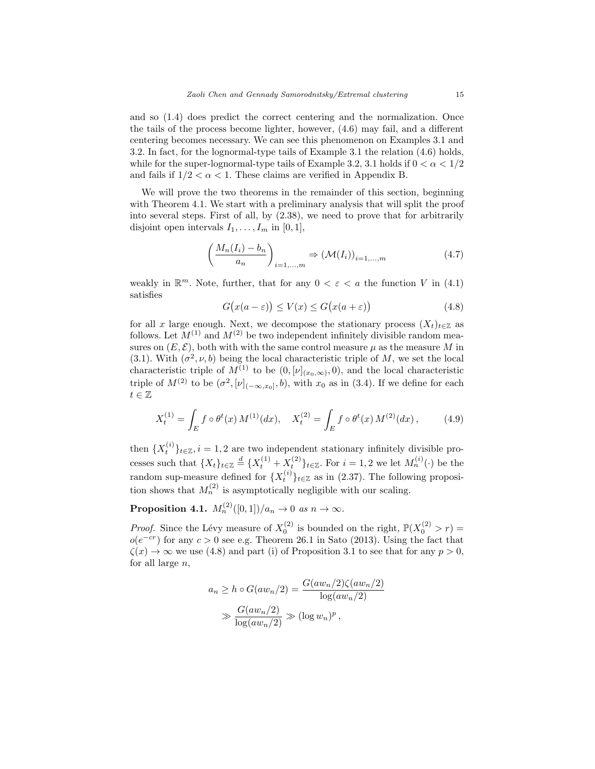and so (1.4) does predict the correct centering and the normalization. Once the tails of the process become lighter, however, (4.6) may fail, and a different centering becomes necessary. We can see this phenomenon on Examples 3.1 and 3.2. In fact, for the lognormal-type tails of Example 3.1 the relation (4.6) holds, while for the super-lognormal-type tails of Example 3.2, 3.1 holds if  $0 < \alpha < 1/2$ and fails if  $1/2 < \alpha < 1$ . These claims are verified in Appendix B.

We will prove the two theorems in the remainder of this section, beginning with Theorem 4.1. We start with a preliminary analysis that will split the proof into several steps. First of all, by (2.38), we need to prove that for arbitrarily disjoint open intervals  $I_1, \ldots, I_m$  in  $[0, 1]$ ,

$$
\left(\frac{M_n(I_i) - b_n}{a_n}\right)_{i=1,\dots,m} \Rightarrow (\mathcal{M}(I_i))_{i=1,\dots,m} \tag{4.7}
$$

weakly in  $\mathbb{R}^m$ . Note, further, that for any  $0 < \varepsilon < a$  the function V in (4.1) satisfies

$$
G(x(a - \varepsilon)) \le V(x) \le G(x(a + \varepsilon))
$$
\n(4.8)

for all x large enough. Next, we decompose the stationary process  $(X_t)_{t\in\mathbb{Z}}$  as follows. Let  $M^{(1)}$  and  $M^{(2)}$  be two independent infinitely divisible random measures on  $(E, \mathcal{E})$ , both with with the same control measure  $\mu$  as the measure M in (3.1). With  $(\sigma^2, \nu, b)$  being the local characteristic triple of M, we set the local characteristic triple of  $M^{(1)}$  to be  $(0, [\nu]_{(x_0,\infty)}, 0)$ , and the local characteristic triple of  $M^{(2)}$  to be  $(\sigma^2, [\nu]_{(-\infty, x_0]}, b)$ , with  $x_0$  as in (3.4). If we define for each  $t\in\mathbb{Z}$ 

$$
X_t^{(1)} = \int_E f \circ \theta^t(x) M^{(1)}(dx), \quad X_t^{(2)} = \int_E f \circ \theta^t(x) M^{(2)}(dx), \tag{4.9}
$$

then  $\{X_t^{(i)}\}_{t\in\mathbb{Z}}, i=1,2$  are two independent stationary infinitely divisible processes such that  $\{X_t\}_{t\in\mathbb{Z}} \stackrel{d}{=} \{X_t^{(1)} + X_t^{(2)}\}_{t\in\mathbb{Z}}$ . For  $i = 1, 2$  we let  $M_n^{(i)}(\cdot)$  be the random sup-measure defined for  $\{X_t^{(i)}\}_{t\in\mathbb{Z}}$  as in (2.37). The following proposition shows that  $M_n^{(2)}$  is asymptotically negligible with our scaling.

Proposition 4.1.  $M_n^{(2)}([0,1])/a_n \to 0$  as  $n \to \infty$ .

*Proof.* Since the Lévy measure of  $X_0^{(2)}$  is bounded on the right,  $\mathbb{P}(X_0^{(2)} > r) =$  $o(e^{-cr})$  for any  $c > 0$  see e.g. Theorem 26.1 in Sato (2013). Using the fact that  $\zeta(x) \to \infty$  we use (4.8) and part (i) of Proposition 3.1 to see that for any  $p > 0$ , for all large  $n$ ,

$$
a_n \ge h \circ G(aw_n/2) = \frac{G(aw_n/2)\zeta(aw_n/2)}{\log(aw_n/2)}
$$
  

$$
\gg \frac{G(aw_n/2)}{\log(aw_n/2)} \gg (\log w_n)^p,
$$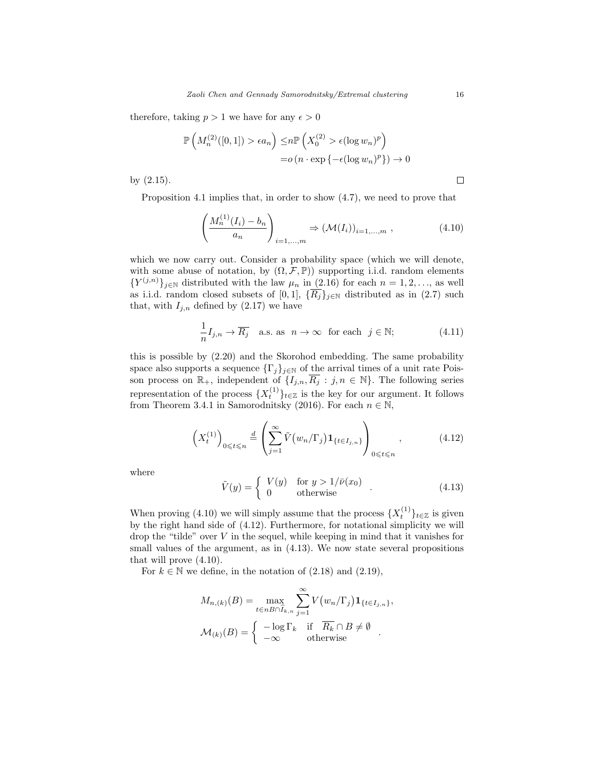therefore, taking  $p > 1$  we have for any  $\epsilon > 0$ 

$$
\mathbb{P}\left(M_n^{(2)}([0,1]) > \epsilon a_n\right) \le n \mathbb{P}\left(X_0^{(2)} > \epsilon (\log w_n)^p\right)
$$

$$
= o\left(n \cdot \exp\left\{-\epsilon (\log w_n)^p\right\}\right) \to 0
$$

by (2.15).

Proposition 4.1 implies that, in order to show (4.7), we need to prove that

$$
\left(\frac{M_n^{(1)}(I_i) - b_n}{a_n}\right)_{i=1,...,m} \Rightarrow (\mathcal{M}(I_i))_{i=1,...,m},
$$
\n(4.10)

which we now carry out. Consider a probability space (which we will denote, with some abuse of notation, by  $(\Omega, \mathcal{F}, \mathbb{P})$  supporting i.i.d. random elements  ${Y^{(j,n)}}_{j\in\mathbb{N}}$  distributed with the law  $\mu_n$  in (2.16) for each  $n=1,2,\ldots$ , as well as i.i.d. random closed subsets of [0, 1],  $\{\overline{R_j}\}_{j\in\mathbb{N}}$  distributed as in (2.7) such that, with  $I_{j,n}$  defined by (2.17) we have

$$
\frac{1}{n}I_{j,n} \to \overline{R_j} \quad \text{a.s. as} \quad n \to \infty \quad \text{for each} \quad j \in \mathbb{N};\tag{4.11}
$$

this is possible by (2.20) and the Skorohod embedding. The same probability space also supports a sequence  $\{\Gamma_j\}_{j\in\mathbb{N}}$  of the arrival times of a unit rate Poisson process on  $\mathbb{R}_+$ , independent of  $\{I_{j,n}, \overline{R_j} : j, n \in \mathbb{N}\}\$ . The following series representation of the process  $\{X_t^{(1)}\}_{t\in\mathbb{Z}}$  is the key for our argument. It follows from Theorem 3.4.1 in Samorodnitsky (2016). For each  $n \in \mathbb{N}$ ,

$$
\left(X_t^{(1)}\right)_{0\leqslant t\leqslant n} \stackrel{d}{=} \left(\sum_{j=1}^{\infty} \tilde{V}\left(w_n/\Gamma_j\right) \mathbf{1}_{\{t \in I_{j,n}\}}\right)_{0\leqslant t\leqslant n},\tag{4.12}
$$

where

$$
\tilde{V}(y) = \begin{cases}\nV(y) & \text{for } y > 1/\bar{\nu}(x_0) \\
0 & \text{otherwise}\n\end{cases} .
$$
\n(4.13)

When proving (4.10) we will simply assume that the process  $\{X_t^{(1)}\}_{t\in\mathbb{Z}}$  is given by the right hand side of (4.12). Furthermore, for notational simplicity we will drop the "tilde" over  $V$  in the sequel, while keeping in mind that it vanishes for small values of the argument, as in  $(4.13)$ . We now state several propositions that will prove (4.10).

For  $k \in \mathbb{N}$  we define, in the notation of  $(2.18)$  and  $(2.19)$ ,

$$
M_{n,(k)}(B) = \max_{t \in nB \cap \hat{I}_{k,n}} \sum_{j=1}^{\infty} V(w_n/\Gamma_j) \mathbf{1}_{\{t \in I_{j,n}\}},
$$

$$
\mathcal{M}_{(k)}(B) = \begin{cases} -\log \Gamma_k & \text{if } \overline{R_k} \cap B \neq \emptyset \\ -\infty & \text{otherwise} \end{cases}.
$$

 $\Box$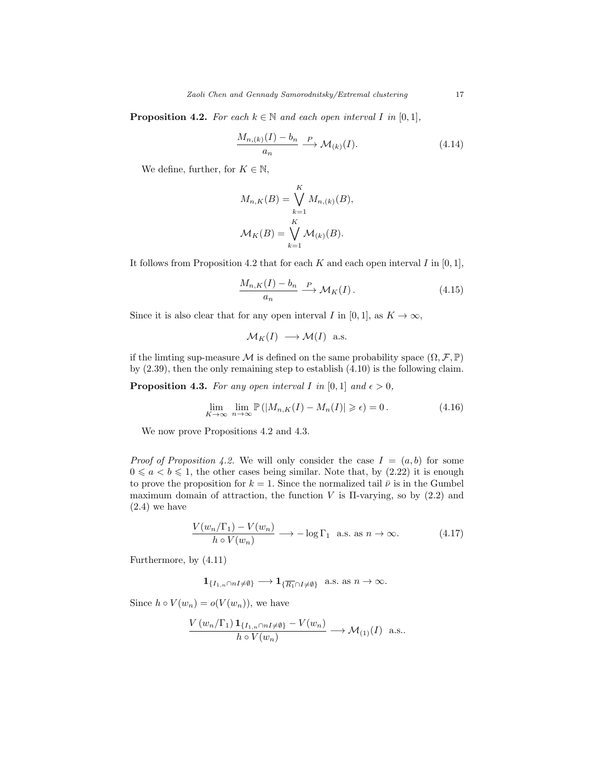**Proposition 4.2.** For each  $k \in \mathbb{N}$  and each open interval I in [0, 1],

$$
\frac{M_{n,(k)}(I) - b_n}{a_n} \xrightarrow{P} \mathcal{M}_{(k)}(I). \tag{4.14}
$$

We define, further, for  $K \in \mathbb{N}$ ,

$$
M_{n,K}(B) = \bigvee_{k=1}^{K} M_{n,(k)}(B),
$$
  

$$
\mathcal{M}_{K}(B) = \bigvee_{k=1}^{K} \mathcal{M}_{(k)}(B).
$$

It follows from Proposition 4.2 that for each K and each open interval I in  $[0, 1]$ ,

$$
\frac{M_{n,K}(I) - b_n}{a_n} \xrightarrow{P} \mathcal{M}_K(I). \tag{4.15}
$$

Since it is also clear that for any open interval I in [0, 1], as  $K \to \infty$ ,

$$
\mathcal{M}_K(I) \longrightarrow \mathcal{M}(I) \text{ a.s.}
$$

if the limting sup-measure  $\mathcal M$  is defined on the same probability space  $(\Omega, \mathcal F, \mathbb P)$ by (2.39), then the only remaining step to establish (4.10) is the following claim.

**Proposition 4.3.** For any open interval I in [0, 1] and  $\epsilon > 0$ ,

$$
\lim_{K \to \infty} \lim_{n \to \infty} \mathbb{P} \left( |M_{n,K}(I) - M_n(I)| \geq \epsilon \right) = 0. \tag{4.16}
$$

We now prove Propositions 4.2 and 4.3.

*Proof of Proposition 4.2.* We will only consider the case  $I = (a, b)$  for some  $0 \leq a < b \leq 1$ , the other cases being similar. Note that, by (2.22) it is enough to prove the proposition for  $k = 1$ . Since the normalized tail  $\bar{\nu}$  is in the Gumbel maximum domain of attraction, the function  $V$  is  $\Pi$ -varying, so by  $(2.2)$  and (2.4) we have

$$
\frac{V(w_n/\Gamma_1) - V(w_n)}{h \circ V(w_n)} \longrightarrow -\log \Gamma_1 \text{ a.s. as } n \to \infty.
$$
 (4.17)

Furthermore, by (4.11)

$$
\mathbf{1}_{\{I_{1,n}\cap nI\neq\emptyset\}}\longrightarrow\mathbf{1}_{\{\overline{R_1}\cap I\neq\emptyset\}}\ \text{ a.s. as }n\to\infty.
$$

Since  $h \circ V(w_n) = o(V(w_n))$ , we have

$$
\frac{V(w_n/\Gamma_1) \mathbf{1}_{\{I_{1,n} \cap nI \neq \emptyset\}} - V(w_n)}{h \circ V(w_n)} \longrightarrow \mathcal{M}_{(1)}(I) \text{ a.s.}.
$$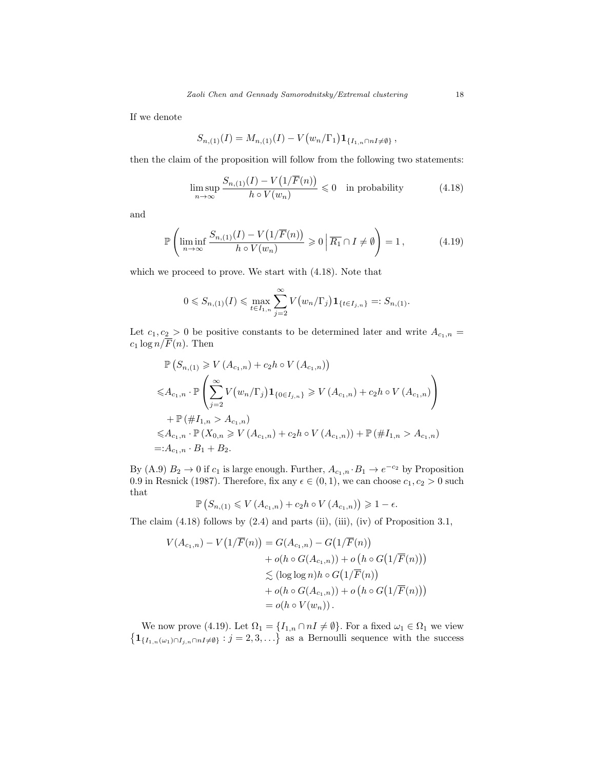If we denote

$$
S_{n,(1)}(I) = M_{n,(1)}(I) - V(w_n/\Gamma_1) \mathbf{1}_{\{I_{1,n} \cap nI \neq \emptyset\}},
$$

then the claim of the proposition will follow from the following two statements:

$$
\limsup_{n \to \infty} \frac{S_{n,(1)}(I) - V\left(\frac{1}{F}(n)\right)}{h \circ V(w_n)} \leq 0 \quad \text{in probability} \tag{4.18}
$$

and

$$
\mathbb{P}\left(\liminf_{n\to\infty}\frac{S_{n,(1)}(I)-V\big(1/\overline{F}(n)\big)}{h\circ V(w_n)}\geqslant 0\,\bigg|\,\overline{R_1}\cap I\neq\emptyset\right)=1\,,\tag{4.19}
$$

which we proceed to prove. We start with (4.18). Note that

$$
0 \leq S_{n,(1)}(I) \leq \max_{t \in I_{1,n}} \sum_{j=2}^{\infty} V(w_n/\Gamma_j) \mathbf{1}_{\{t \in I_{j,n}\}} =: S_{n,(1)}.
$$

Let  $c_1, c_2 > 0$  be positive constants to be determined later and write  $A_{c_1,n} =$  $c_1 \log n / \overline{F}(n)$ . Then

$$
\mathbb{P}\left(S_{n,(1)} \geq V\left(A_{c_1,n}\right) + c_2h \circ V\left(A_{c_1,n}\right)\right)
$$
\n
$$
\leq A_{c_1,n} \cdot \mathbb{P}\left(\sum_{j=2}^{\infty} V\left(w_n/\Gamma_j\right) \mathbf{1}_{\{0 \in I_{j,n}\}} \geq V\left(A_{c_1,n}\right) + c_2h \circ V\left(A_{c_1,n}\right)\right)
$$
\n
$$
+ \mathbb{P}\left(\#I_{1,n} > A_{c_1,n}\right)
$$
\n
$$
\leq A_{c_1,n} \cdot \mathbb{P}\left(X_{0,n} \geq V\left(A_{c_1,n}\right) + c_2h \circ V\left(A_{c_1,n}\right)\right) + \mathbb{P}\left(\#I_{1,n} > A_{c_1,n}\right)
$$
\n
$$
=: A_{c_1,n} \cdot B_1 + B_2.
$$

By (A.9)  $B_2 \to 0$  if  $c_1$  is large enough. Further,  $A_{c_1,n} \cdot B_1 \to e^{-c_2}$  by Proposition 0.9 in Resnick (1987). Therefore, fix any  $\epsilon \in (0,1)$ , we can choose  $c_1, c_2 > 0$  such that

$$
\mathbb{P}\left(S_{n,(1)} \leqslant V\left(A_{c_1,n}\right) + c_2 h \circ V\left(A_{c_1,n}\right)\right) \geqslant 1 - \epsilon.
$$

The claim  $(4.18)$  follows by  $(2.4)$  and parts  $(ii)$ ,  $(iii)$ ,  $(iv)$  of Proposition 3.1,

$$
V(A_{c_1,n}) - V(1/\overline{F}(n)) = G(A_{c_1,n}) - G(1/\overline{F}(n))
$$
  
+  $o(h \circ G(A_{c_1,n})) + o(h \circ G(1/\overline{F}(n)))$   
 $\leq (\log \log n)h \circ G(1/\overline{F}(n))$   
+  $o(h \circ G(A_{c_1,n})) + o(h \circ G(1/\overline{F}(n)))$   
=  $o(h \circ V(w_n)).$ 

We now prove (4.19). Let  $\Omega_1 = \{I_{1,n} \cap nI \neq \emptyset\}$ . For a fixed  $\omega_1 \in \Omega_1$  we view  $\{1_{\{I_{1,n}(\omega_1)\cap I_{j,n}\cap nI\neq\emptyset\}}:j=2,3,\ldots\}$  as a Bernoulli sequence with the success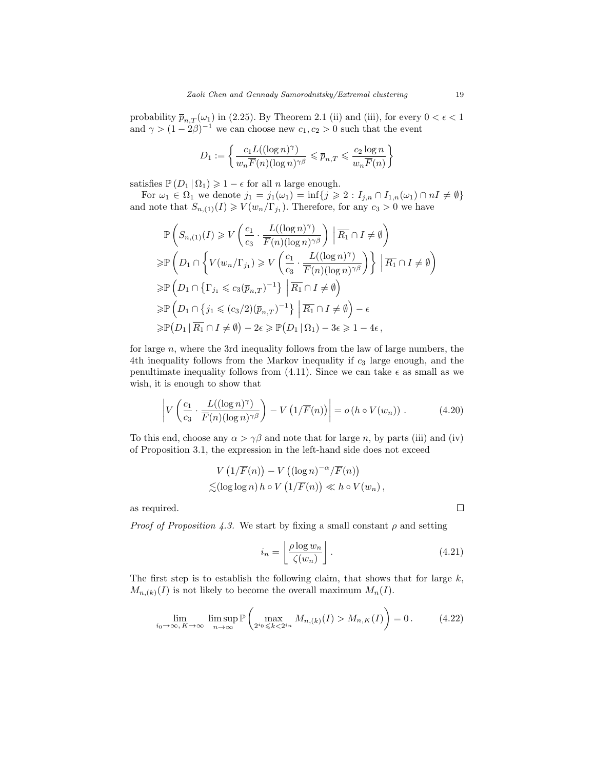probability  $\bar{p}_{n,T}(\omega_1)$  in (2.25). By Theorem 2.1 (ii) and (iii), for every  $0 < \epsilon < 1$ and  $\gamma > (1 - 2\beta)^{-1}$  we can choose new  $c_1, c_2 > 0$  such that the event

$$
D_1 := \left\{ \frac{c_1 L((\log n)^{\gamma})}{w_n \overline{F}(n)(\log n)^{\gamma \beta}} \leqslant \overline{p}_{n,T} \leqslant \frac{c_2 \log n}{w_n \overline{F}(n)} \right\}
$$

satisfies  $\mathbb{P}(D_1 | \Omega_1) \geq 1 - \epsilon$  for all *n* large enough.

For  $\omega_1 \in \Omega_1$  we denote  $j_1 = j_1(\omega_1) = \inf\{j \geq 2 : I_{j,n} \cap I_{1,n}(\omega_1) \cap nI \neq \emptyset\}$ and note that  $S_{n,(1)}(I) \geqslant V(w_n/\Gamma_{j_1})$ . Therefore, for any  $c_3 > 0$  we have

$$
\mathbb{P}\left(S_{n,(1)}(I) \geq V\left(\frac{c_1}{c_3} \cdot \frac{L((\log n)^{\gamma})}{\overline{F}(n)(\log n)^{\gamma\beta}}\right) \middle| \overline{R_1} \cap I \neq \emptyset\right)
$$
\n
$$
\geq \mathbb{P}\left(D_1 \cap \left\{V(w_n/\Gamma_{j_1}) \geq V\left(\frac{c_1}{c_3} \cdot \frac{L((\log n)^{\gamma})}{\overline{F}(n)(\log n)^{\gamma\beta}}\right)\right\} \middle| \overline{R_1} \cap I \neq \emptyset\right)
$$
\n
$$
\geq \mathbb{P}\left(D_1 \cap \left\{\Gamma_{j_1} \leq c_3(\overline{p}_{n,T})^{-1}\right\} \middle| \overline{R_1} \cap I \neq \emptyset\right)
$$
\n
$$
\geq \mathbb{P}\left(D_1 \cap \left\{j_1 \leq (c_3/2)(\overline{p}_{n,T})^{-1}\right\} \middle| \overline{R_1} \cap I \neq \emptyset\right) - \epsilon
$$
\n
$$
\geq \mathbb{P}(D_1 \middle| \overline{R_1} \cap I \neq \emptyset\right) - 2\epsilon \geq \mathbb{P}(D_1 \middle| \Omega_1) - 3\epsilon \geq 1 - 4\epsilon,
$$

for large  $n$ , where the 3rd inequality follows from the law of large numbers, the 4th inequality follows from the Markov inequality if  $c_3$  large enough, and the penultimate inequality follows from (4.11). Since we can take  $\epsilon$  as small as we wish, it is enough to show that

$$
\left| V\left(\frac{c_1}{c_3} \cdot \frac{L((\log n)^{\gamma})}{\overline{F}(n)(\log n)^{\gamma \beta}}\right) - V\left(1/\overline{F}(n)\right) \right| = o\left(h \circ V(w_n)\right). \tag{4.20}
$$

To this end, choose any  $\alpha > \gamma \beta$  and note that for large n, by parts (iii) and (iv) of Proposition 3.1, the expression in the left-hand side does not exceed

$$
V\left(1/\overline{F}(n)\right) - V\left((\log n)^{-\alpha}/\overline{F}(n)\right)
$$
  

$$
\lesssim (\log \log n) h \circ V\left(1/\overline{F}(n)\right) \ll h \circ V(w_n),
$$

as required.

*Proof of Proposition 4.3.* We start by fixing a small constant  $\rho$  and setting

$$
i_n = \left\lfloor \frac{\rho \log w_n}{\zeta(w_n)} \right\rfloor. \tag{4.21}
$$

The first step is to establish the following claim, that shows that for large  $k$ ,  $M_{n,(k)}(I)$  is not likely to become the overall maximum  $M_n(I)$ .

$$
\lim_{i_0 \to \infty, K \to \infty} \limsup_{n \to \infty} \mathbb{P}\left(\max_{2^i \in \mathcal{K} < 2^{i_n}} M_{n,(k)}(I) > M_{n,K}(I)\right) = 0. \tag{4.22}
$$

 $\Box$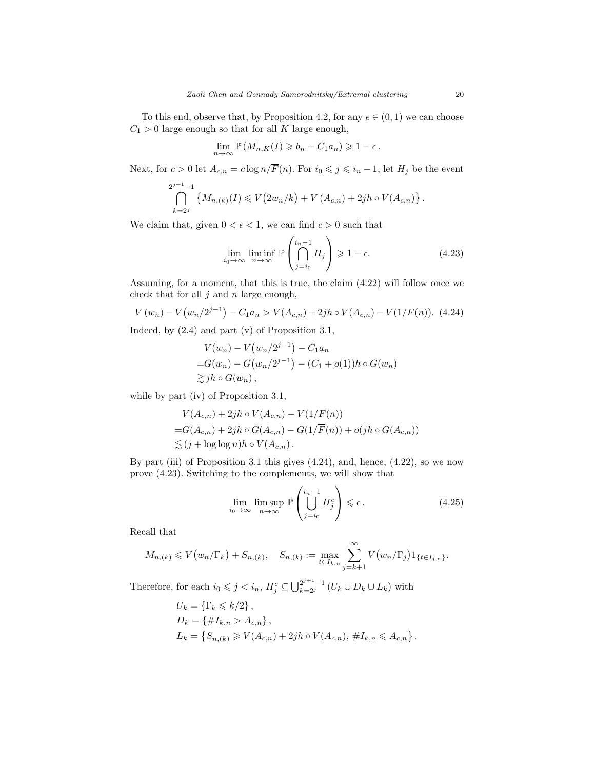To this end, observe that, by Proposition 4.2, for any  $\epsilon \in (0,1)$  we can choose  $C_1 > 0$  large enough so that for all K large enough,

$$
\lim_{n \to \infty} \mathbb{P}\left(M_{n,K}(I) \geqslant b_n - C_1 a_n\right) \geqslant 1 - \epsilon.
$$

Next, for  $c > 0$  let  $A_{c,n} = c \log n / \overline{F}(n)$ . For  $i_0 \leqslant j \leqslant i_n - 1$ , let  $H_j$  be the event

$$
\bigcap_{k=2^j}^{2^{j+1}-1} \left\{ M_{n,(k)}(I) \leqslant V(2w_n/k) + V(A_{c,n}) + 2jh \circ V(A_{c,n}) \right\}.
$$

We claim that, given  $0 < \epsilon < 1$ , we can find  $c > 0$  such that

$$
\lim_{i_0 \to \infty} \liminf_{n \to \infty} \mathbb{P}\left(\bigcap_{j=i_0}^{i_n-1} H_j\right) \geq 1 - \epsilon.
$$
 (4.23)

Assuming, for a moment, that this is true, the claim (4.22) will follow once we check that for all  $j$  and  $n$  large enough,

$$
V(w_n) - V(w_n/2^{j-1}) - C_1 a_n > V(A_{c,n}) + 2jh \circ V(A_{c,n}) - V(1/\overline{F}(n)).
$$
 (4.24)

Indeed, by (2.4) and part (v) of Proposition 3.1,

$$
V(w_n) - V(w_n/2^{j-1}) - C_1 a_n
$$
  
= $G(w_n) - G(w_n/2^{j-1}) - (C_1 + o(1))h \circ G(w_n)$   
 $\gtrsim jh \circ G(w_n)$ ,

while by part (iv) of Proposition 3.1,

$$
V(A_{c,n}) + 2jh \circ V(A_{c,n}) - V(1/\overline{F}(n))
$$
  
= $G(A_{c,n}) + 2jh \circ G(A_{c,n}) - G(1/\overline{F}(n)) + o(jh \circ G(A_{c,n}))$   
 $\lesssim (j + \log \log n)h \circ V(A_{c,n}).$ 

By part (iii) of Proposition 3.1 this gives (4.24), and, hence, (4.22), so we now prove (4.23). Switching to the complements, we will show that

$$
\lim_{i_0 \to \infty} \limsup_{n \to \infty} \mathbb{P}\left(\bigcup_{j=i_0}^{i_n - 1} H_j^c\right) \leq \epsilon.
$$
\n(4.25)

Recall that

$$
M_{n,(k)} \leq V(w_n/\Gamma_k) + S_{n,(k)}, \quad S_{n,(k)} := \max_{t \in I_{k,n}} \sum_{j=k+1}^{\infty} V(w_n/\Gamma_j) 1_{\{t \in I_{j,n}\}}.
$$

Therefore, for each  $i_0 \leqslant j < i_n$ ,  $H_j^c \subseteq \bigcup_{k=2j}^{2^{j+1}-1} (U_k \cup D_k \cup L_k)$  with

$$
U_k = \{ \Gamma_k \le k/2 \},
$$
  
\n
$$
D_k = \{ \#I_{k,n} > A_{c,n} \},
$$
  
\n
$$
L_k = \{ S_{n,(k)} \ge V(A_{c,n}) + 2jh \circ V(A_{c,n}), \#I_{k,n} \le A_{c,n} \}.
$$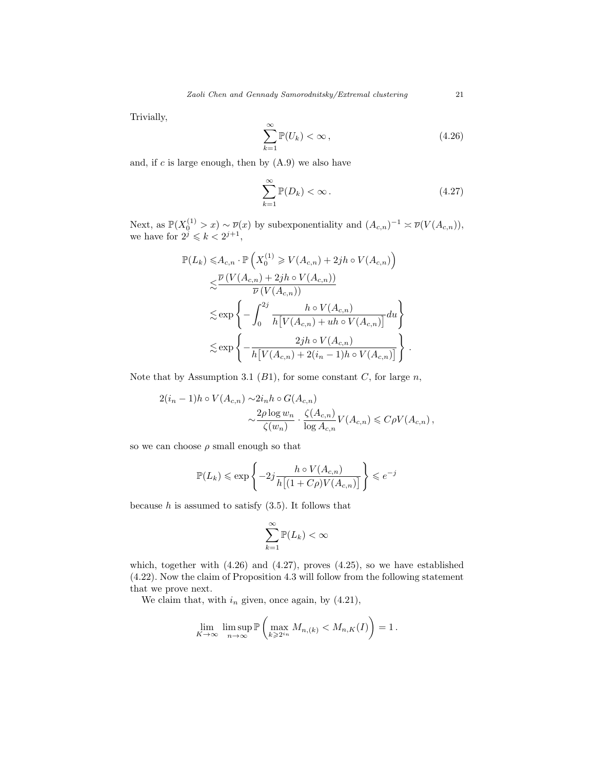Trivially,

$$
\sum_{k=1}^{\infty} \mathbb{P}(U_k) < \infty \,, \tag{4.26}
$$

and, if  $c$  is large enough, then by  $(A.9)$  we also have

$$
\sum_{k=1}^{\infty} \mathbb{P}(D_k) < \infty \,. \tag{4.27}
$$

Next, as  $\mathbb{P}(X_0^{(1)} > x) \sim \overline{\nu}(x)$  by subexponentiality and  $(A_{c,n})^{-1} \approx \overline{\nu}(V(A_{c,n}))$ , we have for  $2^{j} \leq k < 2^{j+1}$ ,

$$
\mathbb{P}(L_k) \leq A_{c,n} \cdot \mathbb{P}\left(X_0^{(1)} \geq V(A_{c,n}) + 2jh \circ V(A_{c,n})\right)
$$
  

$$
\lesssim \frac{\overline{\nu}\left(V(A_{c,n}) + 2jh \circ V(A_{c,n})\right)}{\overline{\nu}\left(V(A_{c,n})\right)}
$$
  

$$
\lesssim \exp\left\{-\int_0^{2j} \frac{h \circ V(A_{c,n})}{h\left[V(A_{c,n}) + uh \circ V(A_{c,n})\right]} du\right\}
$$
  

$$
\lesssim \exp\left\{-\frac{2jh \circ V(A_{c,n})}{h\left[V(A_{c,n}) + 2(i_n - 1)h \circ V(A_{c,n})\right]}\right\}.
$$

Note that by Assumption 3.1  $(B1)$ , for some constant C, for large n,

$$
2(i_n - 1)h \circ V(A_{c,n}) \sim 2i_n h \circ G(A_{c,n})
$$
  

$$
\sim \frac{2\rho \log w_n}{\zeta(w_n)} \cdot \frac{\zeta(A_{c,n})}{\log A_{c,n}} V(A_{c,n}) \leqslant C\rho V(A_{c,n}),
$$

so we can choose  $\rho$  small enough so that

$$
\mathbb{P}(L_k) \le \exp\left\{-2j\frac{h \circ V(A_{c,n})}{h\big[(1+C\rho)V(A_{c,n})\big]}\right\} \le e^{-j}
$$

because  $h$  is assumed to satisfy  $(3.5)$ . It follows that

$$
\sum_{k=1}^{\infty} \mathbb{P}(L_k) < \infty
$$

which, together with (4.26) and (4.27), proves (4.25), so we have established (4.22). Now the claim of Proposition 4.3 will follow from the following statement that we prove next.

We claim that, with  $i_n$  given, once again, by  $(4.21)$ ,

$$
\lim_{K \to \infty} \limsup_{n \to \infty} \mathbb{P}\left(\max_{k \geq 2^{i_n}} M_{n,(k)} < M_{n,K}(I)\right) = 1.
$$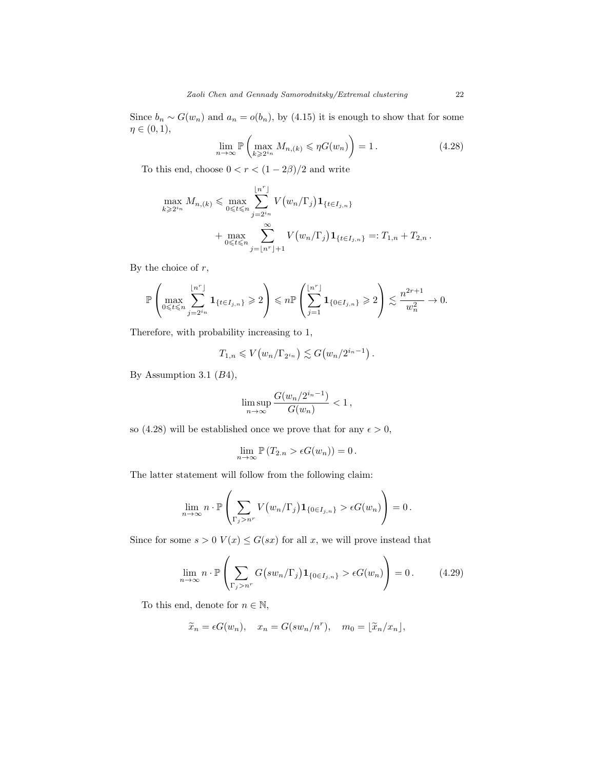Since  $b_n \sim G(w_n)$  and  $a_n = o(b_n)$ , by (4.15) it is enough to show that for some  $\eta \in (0,1),$ 

$$
\lim_{n \to \infty} \mathbb{P}\left(\max_{k \geq 2^{i_n}} M_{n,(k)} \leqslant \eta G(w_n)\right) = 1. \tag{4.28}
$$

To this end, choose  $0 < r < (1 - 2\beta)/2$  and write

$$
\max_{k \geqslant 2^{i_n}} M_{n,(k)} \leqslant \max_{0 \leqslant t \leqslant n} \sum_{j=2^{i_n}}^{\lfloor n^r \rfloor} V(w_n/\Gamma_j) \mathbf{1}_{\{t \in I_{j,n}\}} + \max_{0 \leqslant t \leqslant n} \sum_{j=\lfloor n^r \rfloor+1}^{\infty} V(w_n/\Gamma_j) \mathbf{1}_{\{t \in I_{j,n}\}} =: T_{1,n} + T_{2,n}.
$$

By the choice of  $r$ ,

$$
\mathbb{P}\left(\max_{0\leqslant t\leqslant n}\sum_{j=2^{i_{n}}}^{\lfloor n^{r}\rfloor}\mathbf{1}_{\{t\in I_{j,n}\}}\geqslant 2\right)\leqslant n \mathbb{P}\left(\sum_{j=1}^{\lfloor n^{r}\rfloor}\mathbf{1}_{\{0\in I_{j,n}\}}\geqslant 2\right)\lesssim \frac{n^{2r+1}}{w_{n}^{2}}\rightarrow 0.
$$

Therefore, with probability increasing to 1,

$$
T_{1,n} \leqslant V\big(w_n/\Gamma_{2^{i_n}}\big) \lesssim G\big(w_n/2^{i_n-1}\big).
$$

By Assumption 3.1 (B4),

$$
\limsup_{n\to\infty}\frac{G(w_n/2^{i_n-1})}{G(w_n)}<1\,,
$$

so (4.28) will be established once we prove that for any  $\epsilon > 0$ ,

$$
\lim_{n \to \infty} \mathbb{P}\left(T_{2,n} > \epsilon G(w_n)\right) = 0.
$$

The latter statement will follow from the following claim:

$$
\lim_{n\to\infty} n \cdot \mathbb{P}\left(\sum_{\Gamma_j>n^r} V(w_n/\Gamma_j) \mathbf{1}_{\{0\in I_{j,n}\}} > \epsilon G(w_n)\right) = 0.
$$

Since for some  $s > 0$   $V(x) \le G(sx)$  for all x, we will prove instead that

$$
\lim_{n \to \infty} n \cdot \mathbb{P}\left(\sum_{\Gamma_j > n^r} G\big(\sup_n / \Gamma_j\big) \mathbf{1}_{\{0 \in I_{j,n}\}} > \epsilon G(w_n)\right) = 0. \tag{4.29}
$$

To this end, denote for  $n \in \mathbb{N}$ ,

$$
\widetilde{x}_n = \epsilon G(w_n), \quad x_n = G(sw_n/n^r), \quad m_0 = \lfloor \widetilde{x}_n/x_n \rfloor,
$$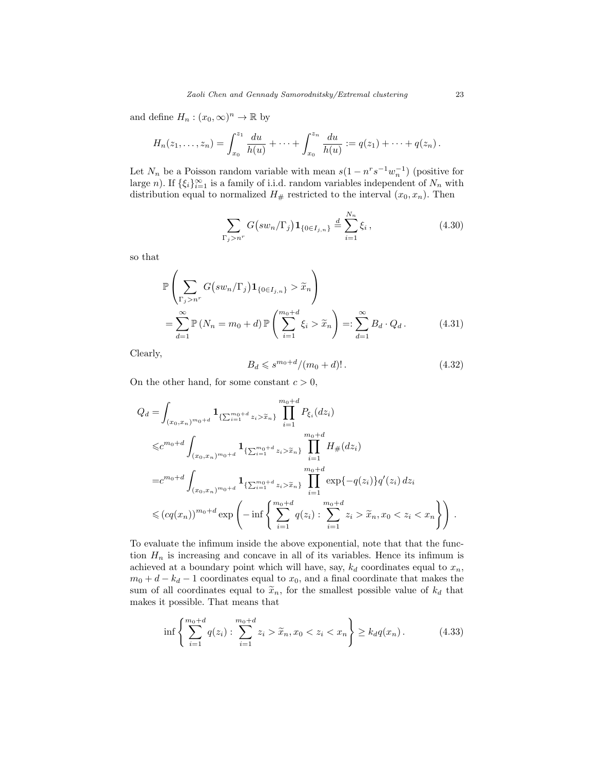and define  $H_n : (x_0, \infty)^n \to \mathbb{R}$  by

$$
H_n(z_1,\ldots,z_n)=\int_{x_0}^{z_1}\frac{du}{h(u)}+\cdots+\int_{x_0}^{z_n}\frac{du}{h(u)}:=q(z_1)+\cdots+q(z_n).
$$

Let  $N_n$  be a Poisson random variable with mean  $s(1 - n^r s^{-1} w_n^{-1})$  (positive for large n). If  $\{\xi_i\}_{i=1}^{\infty}$  is a family of i.i.d. random variables independent of  $N_n$  with distribution equal to normalized  $H_{\#}$  restricted to the interval  $(x_0, x_n)$ . Then

$$
\sum_{\Gamma_j > n^r} G\big(s w_n / \Gamma_j\big) \mathbf{1}_{\{0 \in I_{j,n}\}} \stackrel{d}{=} \sum_{i=1}^{N_n} \xi_i \,,\tag{4.30}
$$

so that

$$
\mathbb{P}\left(\sum_{\Gamma_j > n^r} G\left(sw_n/\Gamma_j\right) \mathbf{1}_{\{0 \in I_{j,n}\}} > \widetilde{x}_n\right)
$$
\n
$$
= \sum_{d=1}^{\infty} \mathbb{P}\left(N_n = m_0 + d\right) \mathbb{P}\left(\sum_{i=1}^{m_0 + d} \xi_i > \widetilde{x}_n\right) =: \sum_{d=1}^{\infty} B_d \cdot Q_d. \tag{4.31}
$$

Clearly,

$$
B_d \leqslant s^{m_0+d}/(m_0+d)! \,. \tag{4.32}
$$

On the other hand, for some constant  $c > 0$ ,

$$
Q_{d} = \int_{(x_{0},x_{n})^{m_{0}+d}} \mathbf{1}_{\{\sum_{i=1}^{m_{0}+d} z_{i} > \tilde{x}_{n}\}} \prod_{i=1}^{m_{0}+d} P_{\xi_{i}}(dz_{i})
$$
  
\n
$$
\leq c^{m_{0}+d} \int_{(x_{0},x_{n})^{m_{0}+d}} \mathbf{1}_{\{\sum_{i=1}^{m_{0}+d} z_{i} > \tilde{x}_{n}\}} \prod_{i=1}^{m_{0}+d} H_{\#}(dz_{i})
$$
  
\n
$$
= c^{m_{0}+d} \int_{(x_{0},x_{n})^{m_{0}+d}} \mathbf{1}_{\{\sum_{i=1}^{m_{0}+d} z_{i} > \tilde{x}_{n}\}} \prod_{i=1}^{m_{0}+d} \exp\{-q(z_{i})\} q'(z_{i}) dz_{i}
$$
  
\n
$$
\leq (cq(x_{n}))^{m_{0}+d} \exp\left(-\inf\left\{\sum_{i=1}^{m_{0}+d} q(z_{i}) : \sum_{i=1}^{m_{0}+d} z_{i} > \tilde{x}_{n}, x_{0} < z_{i} < x_{n}\right\}\right).
$$

To evaluate the infimum inside the above exponential, note that that the function  $H_n$  is increasing and concave in all of its variables. Hence its infimum is achieved at a boundary point which will have, say,  $k_d$  coordinates equal to  $x_n$ ,  $m_0 + d - k_d - 1$  coordinates equal to  $x_0$ , and a final coordinate that makes the sum of all coordinates equal to  $\tilde{x}_n$ , for the smallest possible value of  $k_d$  that makes it possible. That means that

$$
\inf \left\{ \sum_{i=1}^{m_0+d} q(z_i) : \sum_{i=1}^{m_0+d} z_i > \tilde{x}_n, x_0 < z_i < x_n \right\} \ge k_d q(x_n). \tag{4.33}
$$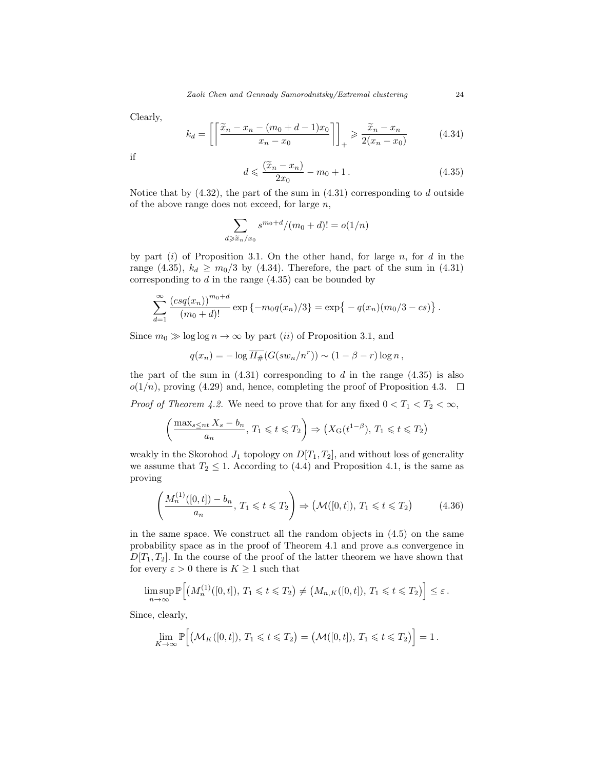Clearly,

$$
k_d = \left[ \left\lceil \frac{\widetilde{x}_n - x_n - (m_0 + d - 1)x_0}{x_n - x_0} \right\rceil \right]_+ \ge \frac{\widetilde{x}_n - x_n}{2(x_n - x_0)}\tag{4.34}
$$

if

$$
d \leqslant \frac{(\widetilde{x}_n - x_n)}{2x_0} - m_0 + 1. \tag{4.35}
$$

Notice that by  $(4.32)$ , the part of the sum in  $(4.31)$  corresponding to  $d$  outside of the above range does not exceed, for large  $n$ ,

$$
\sum_{d \ge \widetilde{x}_n/x_0} s^{m_0+d} / (m_0+d)! = o(1/n)
$$

by part  $(i)$  of Proposition 3.1. On the other hand, for large n, for d in the range (4.35),  $k_d \geq m_0/3$  by (4.34). Therefore, the part of the sum in (4.31) corresponding to  $d$  in the range  $(4.35)$  can be bounded by

$$
\sum_{d=1}^{\infty} \frac{(csq(x_n))^{m_0+d}}{(m_0+d)!} \exp \{-m_0 q(x_n)/3\} = \exp \{-q(x_n)(m_0/3 - cs)\}.
$$

Since  $m_0 \gg \log \log n \to \infty$  by part *(ii)* of Proposition 3.1, and

$$
q(x_n) = -\log \overline{H_{\#}}(G(sw_n/n^r)) \sim (1 - \beta - r)\log n,
$$

the part of the sum in  $(4.31)$  corresponding to d in the range  $(4.35)$  is also  $o(1/n)$ , proving (4.29) and, hence, completing the proof of Proposition 4.3.  $\Box$ 

*Proof of Theorem 4.2.* We need to prove that for any fixed  $0 < T_1 < T_2 < \infty$ ,

$$
\left(\frac{\max_{s\le nt}X_s-b_n}{a_n}, T_1 \leqslant t \leqslant T_2\right) \Rightarrow \left(X_{\mathcal{G}}(t^{1-\beta}), T_1 \leqslant t \leqslant T_2\right)
$$

weakly in the Skorohod  $J_1$  topology on  $D[T_1, T_2]$ , and without loss of generality we assume that  $T_2 \leq 1$ . According to (4.4) and Proposition 4.1, is the same as proving

$$
\left(\frac{M_n^{(1)}([0,t]) - b_n}{a_n}, T_1 \leq t \leq T_2\right) \Rightarrow \left(\mathcal{M}([0,t]), T_1 \leq t \leq T_2\right) \tag{4.36}
$$

in the same space. We construct all the random objects in (4.5) on the same probability space as in the proof of Theorem 4.1 and prove a.s convergence in  $D[T_1, T_2]$ . In the course of the proof of the latter theorem we have shown that for every  $\varepsilon > 0$  there is  $K \geq 1$  such that

$$
\limsup_{n\to\infty}\mathbb{P}\Big[\big(M_n^{(1)}([0,t]), T_1\leq t\leq T_2\big)\neq \big(M_{n,K}([0,t]), T_1\leq t\leq T_2\big)\Big]\leq \varepsilon.
$$

Since, clearly,

$$
\lim_{K\to\infty}\mathbb{P}\Big[(\mathcal{M}_K([0,t]), T_1\leq t\leq T_2)=(\mathcal{M}([0,t]), T_1\leq t\leq T_2)\Big]=1.
$$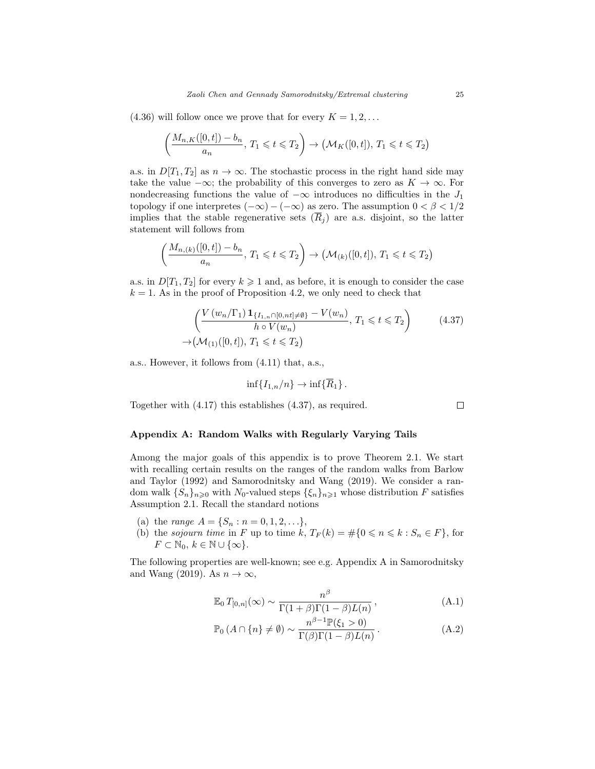$(4.36)$  will follow once we prove that for every  $K = 1, 2, \ldots$ 

$$
\left(\frac{M_{n,K}([0,t]) - b_n}{a_n}, T_1 \leq t \leq T_2\right) \to \left(\mathcal{M}_K([0,t]), T_1 \leq t \leq T_2\right)
$$

a.s. in  $D[T_1, T_2]$  as  $n \to \infty$ . The stochastic process in the right hand side may take the value  $-\infty$ ; the probability of this converges to zero as  $K \to \infty$ . For nondecreasing functions the value of  $-\infty$  introduces no difficulties in the  $J_1$ topology if one interpretes  $(-\infty) - (-\infty)$  as zero. The assumption  $0 < \beta < 1/2$ implies that the stable regenerative sets  $(\overline{R}_i)$  are a.s. disjoint, so the latter statement will follows from

$$
\left(\frac{M_{n,(k)}([0,t])-b_n}{a_n}, T_1 \leq t \leq T_2\right) \to \left(\mathcal{M}_{(k)}([0,t]), T_1 \leq t \leq T_2\right)
$$

a.s. in  $D[T_1, T_2]$  for every  $k \geq 1$  and, as before, it is enough to consider the case  $k = 1$ . As in the proof of Proposition 4.2, we only need to check that

$$
\left(\frac{V(w_n/\Gamma_1)\mathbf{1}_{\{I_{1,n}\cap[0,n\neq\emptyset\}} - V(w_n)}{h \circ V(w_n)}, T_1 \leq t \leq T_2\right) \tag{4.37}
$$

$$
\to (\mathcal{M}_{(1)}([0,t]), T_1 \leq t \leq T_2)
$$

a.s.. However, it follows from (4.11) that, a.s.,

$$
\inf\{I_{1,n}/n\}\to\inf\{\overline{R}_1\}.
$$

Together with (4.17) this establishes (4.37), as required.

 $\Box$ 

#### Appendix A: Random Walks with Regularly Varying Tails

Among the major goals of this appendix is to prove Theorem 2.1. We start with recalling certain results on the ranges of the random walks from Barlow and Taylor (1992) and Samorodnitsky and Wang (2019). We consider a random walk  $\{S_n\}_{n\geq 0}$  with  $N_0$ -valued steps  $\{\xi_n\}_{n\geq 1}$  whose distribution F satisfies Assumption 2.1. Recall the standard notions

- (a) the range  $A = \{S_n : n = 0, 1, 2, \ldots\},\$
- (b) the sojourn time in F up to time  $k, T_F(k) = #{0 \le n \le k : S_n \in F}$ , for  $F \subset \mathbb{N}_0, k \in \mathbb{N} \cup \{\infty\}.$

The following properties are well-known; see e.g. Appendix A in Samorodnitsky and Wang (2019). As  $n \to \infty$ ,

$$
\mathbb{E}_0 T_{[0,n]}(\infty) \sim \frac{n^{\beta}}{\Gamma(1+\beta)\Gamma(1-\beta)L(n)},
$$
\n(A.1)

$$
\mathbb{P}_0(A \cap \{n\} \neq \emptyset) \sim \frac{n^{\beta - 1} \mathbb{P}(\xi_1 > 0)}{\Gamma(\beta)\Gamma(1 - \beta)L(n)}.
$$
 (A.2)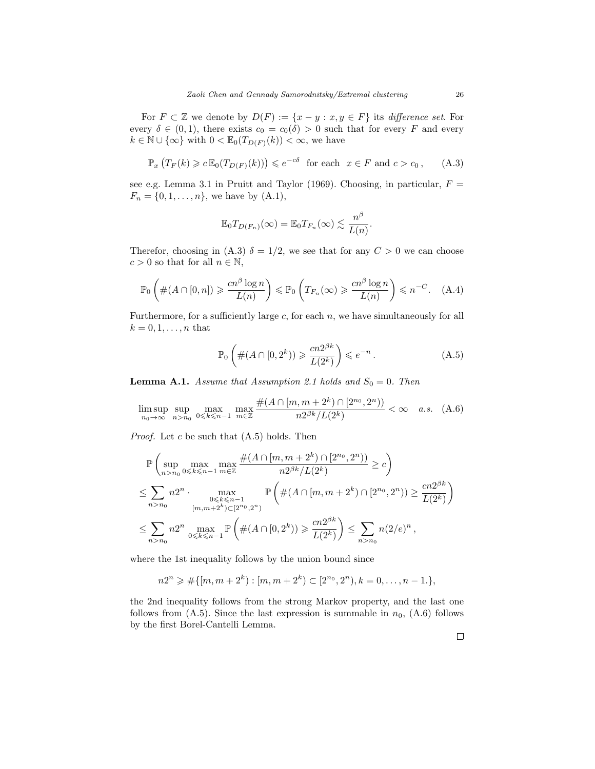For  $F \subset \mathbb{Z}$  we denote by  $D(F) := \{x - y : x, y \in F\}$  its *difference set*. For every  $\delta \in (0,1)$ , there exists  $c_0 = c_0(\delta) > 0$  such that for every F and every  $k \in \mathbb{N} \cup \{\infty\}$  with  $0 < \mathbb{E}_{0}(T_{D(F)}(k)) < \infty$ , we have

$$
\mathbb{P}_x\left(T_F(k)\geq c\,\mathbb{E}_0(T_{D(F)}(k))\right)\leqslant e^{-c\delta}\quad\text{for each}\quad x\in F\text{ and }c>c_0\,,\qquad(A.3)
$$

see e.g. Lemma 3.1 in Pruitt and Taylor (1969). Choosing, in particular,  $F =$  $F_n = \{0, 1, \ldots, n\}$ , we have by  $(A.1)$ ,

$$
\mathbb{E}_0 T_{D(F_n)}(\infty) = \mathbb{E}_0 T_{F_n}(\infty) \lesssim \frac{n^{\beta}}{L(n)}.
$$

Therefor, choosing in (A.3)  $\delta = 1/2$ , we see that for any  $C > 0$  we can choose  $c > 0$  so that for all  $n \in \mathbb{N}$ ,

$$
\mathbb{P}_0\left(\#(A\cap[0,n])\geqslant \frac{cn^{\beta}\log n}{L(n)}\right)\leqslant \mathbb{P}_0\left(T_{F_n}(\infty)\geqslant \frac{cn^{\beta}\log n}{L(n)}\right)\leqslant n^{-C}.\quad\text{(A.4)}
$$

Furthermore, for a sufficiently large  $c$ , for each  $n$ , we have simultaneously for all  $k = 0, 1, \ldots, n$  that

$$
\mathbb{P}_0\left(\#(A\cap[0,2^k))\geqslant\frac{cn2^{\beta k}}{L(2^k)}\right)\leqslant e^{-n}.
$$
\n(A.5)

**Lemma A.1.** Assume that Assumption 2.1 holds and  $S_0 = 0$ . Then

$$
\limsup_{n_0 \to \infty} \sup_{n > n_0} \max_{0 \le k \le n-1} \max_{m \in \mathbb{Z}} \frac{\#(A \cap [m, m+2^k) \cap [2^{n_0}, 2^n])}{n 2^{\beta k} / L(2^k)} < \infty \quad a.s. \tag{A.6}
$$

*Proof.* Let  $c$  be such that  $(A.5)$  holds. Then

$$
\mathbb{P}\left(\sup_{n>n>0} \max_{0\leq k\leq n-1} \max_{m\in\mathbb{Z}} \frac{\#(A\cap [m,m+2^k)\cap [2^{n_0}, 2^n))}{n2^{\beta k}/L(2^k)} \geq c\right)
$$
\n
$$
\leq \sum_{n>n_0} n2^n \cdot \max_{\substack{0\leq k\leq n-1\\(m,m+2^k)\subset [2^{n_0}, 2^n)}} \mathbb{P}\left(\#(A\cap [m,m+2^k)\cap [2^{n_0}, 2^n)) \geq \frac{cn2^{\beta k}}{L(2^k)}\right)
$$
\n
$$
\leq \sum_{n>n_0} n2^n \max_{0\leq k\leq n-1} \mathbb{P}\left(\#(A\cap [0, 2^k)) \geq \frac{cn2^{\beta k}}{L(2^k)}\right) \leq \sum_{n>n_0} n(2/e)^n,
$$

where the 1st inequality follows by the union bound since

$$
n2^{n} \geqslant \# \{ [m, m + 2^{k}) : [m, m + 2^{k}) \subset [2^{n_0}, 2^{n}), k = 0, \ldots, n - 1. \},
$$

the 2nd inequality follows from the strong Markov property, and the last one follows from  $(A.5)$ . Since the last expression is summable in  $n_0$ ,  $(A.6)$  follows by the first Borel-Cantelli Lemma.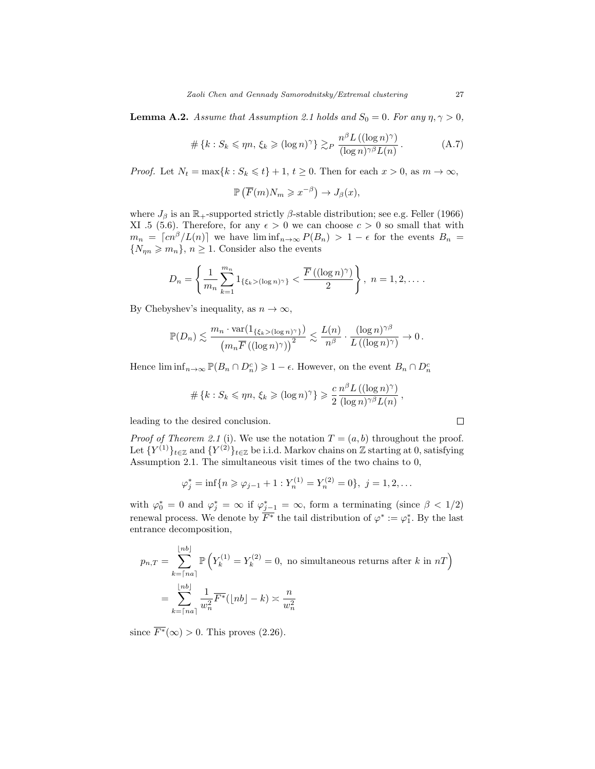**Lemma A.2.** Assume that Assumption 2.1 holds and  $S_0 = 0$ . For any  $\eta, \gamma > 0$ ,

$$
\#\left\{k: S_k \leqslant \eta n, \, \xi_k \geqslant (\log n)^\gamma\right\} \gtrsim_P \frac{n^\beta L\left((\log n)^\gamma\right)}{(\log n)^{\gamma \beta} L(n)}\,. \tag{A.7}
$$

*Proof.* Let  $N_t = \max\{k : S_k \leq t\} + 1, t \geq 0$ . Then for each  $x > 0$ , as  $m \to \infty$ ,

$$
\mathbb{P}\left(\overline{F}(m)N_m \geqslant x^{-\beta}\right) \to J_\beta(x),
$$

where  $J_\beta$  is an  $\mathbb{R}_+$ -supported strictly  $\beta$ -stable distribution; see e.g. Feller (1966) XI .5 (5.6). Therefore, for any  $\epsilon > 0$  we can choose  $c > 0$  so small that with  $m_n = \lfloor cn^{\beta}/L(n) \rfloor$  we have  $\liminf_{n\to\infty} P(B_n) > 1 - \epsilon$  for the events  $B_n =$  $\{N_{\eta n} \geqslant m_n\}, n \geq 1$ . Consider also the events

$$
D_n = \left\{ \frac{1}{m_n} \sum_{k=1}^{m_n} 1_{\{\xi_k > (\log n)^\gamma\}} < \frac{\overline{F}\left((\log n)^\gamma\right)}{2} \right\}, \ n = 1, 2, \dots
$$

By Chebyshev's inequality, as  $n \to \infty$ ,

$$
\mathbb{P}(D_n) \lesssim \frac{m_n \cdot \text{var}(\mathbf{1}_{\{\xi_k > (\log n)^\gamma\}})}{\left(m_n \overline{F}\left((\log n)^\gamma\right)\right)^2} \lesssim \frac{L(n)}{n^\beta} \cdot \frac{(\log n)^{\gamma\beta}}{L\left((\log n)^\gamma\right)} \to 0.
$$

Hence  $\liminf_{n\to\infty} \mathbb{P}(B_n \cap D_n^c) \geq 1-\epsilon$ . However, on the event  $B_n \cap D_n^c$ 

$$
\#\left\{k: S_k \leqslant \eta n, \, \xi_k \geqslant (\log n)^\gamma\right\} \geqslant \frac{c}{2} \frac{n^{\beta} L\left((\log n)^\gamma\right)}{(\log n)^{\gamma \beta} L(n)},
$$

leading to the desired conclusion.

*Proof of Theorem 2.1* (i). We use the notation  $T = (a, b)$  throughout the proof. Let  ${Y^{(1)}}_{t\in\mathbb{Z}}$  and  ${Y^{(2)}}_{t\in\mathbb{Z}}$  be i.i.d. Markov chains on  $\mathbb{Z}$  starting at 0, satisfying Assumption 2.1. The simultaneous visit times of the two chains to 0,

$$
\varphi_j^* = \inf\{n \ge \varphi_{j-1} + 1 : Y_n^{(1)} = Y_n^{(2)} = 0\}, \ j = 1, 2, \dots
$$

with  $\varphi_0^* = 0$  and  $\varphi_j^* = \infty$  if  $\varphi_{j-1}^* = \infty$ , form a terminating (since  $\beta < 1/2$ ) renewal process. We denote by  $\overline{F^*}$  the tail distribution of  $\varphi^* := \varphi_1^*$ . By the last entrance decomposition,

$$
p_{n,T} = \sum_{k=\lceil na \rceil}^{\lfloor nb \rfloor} \mathbb{P}\left(Y_k^{(1)} = Y_k^{(2)} = 0, \text{ no simultaneous returns after } k \text{ in } nT\right)
$$

$$
= \sum_{k=\lceil na \rceil}^{\lfloor nb \rfloor} \frac{1}{w_n^2} \overline{F^*}(\lfloor nb \rfloor - k) \asymp \frac{n}{w_n^2}
$$

since  $\overline{F^*}(\infty) > 0$ . This proves (2.26).

 $\Box$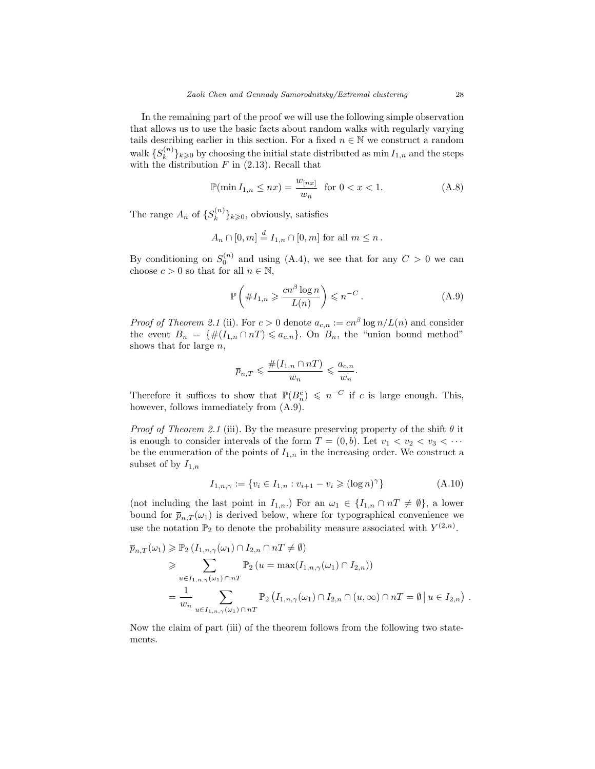In the remaining part of the proof we will use the following simple observation that allows us to use the basic facts about random walks with regularly varying tails describing earlier in this section. For a fixed  $n \in \mathbb{N}$  we construct a random walk  $\{S_k^{(n)}\}$  ${k \choose k}$  $k \ge 0$  by choosing the initial state distributed as min  $I_{1,n}$  and the steps with the distribution  $F$  in (2.13). Recall that

$$
\mathbb{P}(\min I_{1,n} \le nx) = \frac{w_{[nx]}}{w_n} \text{ for } 0 < x < 1. \tag{A.8}
$$

The range  $A_n$  of  $\{S_k^{(n)}\}$  $\{k^{(n)}\}_{k\geqslant 0}$ , obviously, satisfies

$$
A_n \cap [0, m] \stackrel{d}{=} I_{1,n} \cap [0, m] \text{ for all } m \leq n.
$$

By conditioning on  $S_0^{(n)}$  and using (A.4), we see that for any  $C > 0$  we can choose  $c > 0$  so that for all  $n \in \mathbb{N}$ ,

$$
\mathbb{P}\left(\#I_{1,n} \geqslant \frac{cn^{\beta}\log n}{L(n)}\right) \leqslant n^{-C}.
$$
\n(A.9)

*Proof of Theorem 2.1* (ii). For  $c > 0$  denote  $a_{c,n} := cn^{\beta} \log n / L(n)$  and consider the event  $B_n = \{ \#(I_{1,n} \cap nT) \leq a_{c,n} \}.$  On  $B_n$ , the "union bound method" shows that for large  $n$ ,

$$
\overline{p}_{n,T} \leqslant \frac{\#(I_{1,n} \cap nT)}{w_n} \leqslant \frac{a_{c,n}}{w_n}.
$$

Therefore it suffices to show that  $\mathbb{P}(B_n^c) \leq n^{-C}$  if c is large enough. This, however, follows immediately from  $(A.9)$ .

*Proof of Theorem 2.1* (iii). By the measure preserving property of the shift  $\theta$  it is enough to consider intervals of the form  $T = (0, b)$ . Let  $v_1 < v_2 < v_3 < \cdots$ be the enumeration of the points of  $I_{1,n}$  in the increasing order. We construct a subset of by  $I_{1,n}$ 

$$
I_{1,n,\gamma} := \{ v_i \in I_{1,n} : v_{i+1} - v_i \geqslant (\log n)^{\gamma} \}
$$
 (A.10)

(not including the last point in  $I_{1,n}$ .) For an  $\omega_1 \in \{I_{1,n} \cap nT \neq \emptyset\}$ , a lower bound for  $\bar{p}_{n,T}(\omega_1)$  is derived below, where for typographical convenience we use the notation  $\mathbb{P}_2$  to denote the probability measure associated with  $Y^{(2,n)}$ .

$$
\overline{p}_{n,T}(\omega_1) \geq \mathbb{P}_2(I_{1,n,\gamma}(\omega_1) \cap I_{2,n} \cap nT \neq \emptyset)
$$
\n
$$
\geq \sum_{u \in I_{1,n,\gamma}(\omega_1) \cap nT} \mathbb{P}_2(u = \max(I_{1,n,\gamma}(\omega_1) \cap I_{2,n}))
$$
\n
$$
= \frac{1}{w_n} \sum_{u \in I_{1,n,\gamma}(\omega_1) \cap nT} \mathbb{P}_2(I_{1,n,\gamma}(\omega_1) \cap I_{2,n} \cap (u,\infty) \cap nT = \emptyset | u \in I_{2,n})
$$

Now the claim of part (iii) of the theorem follows from the following two statements.

.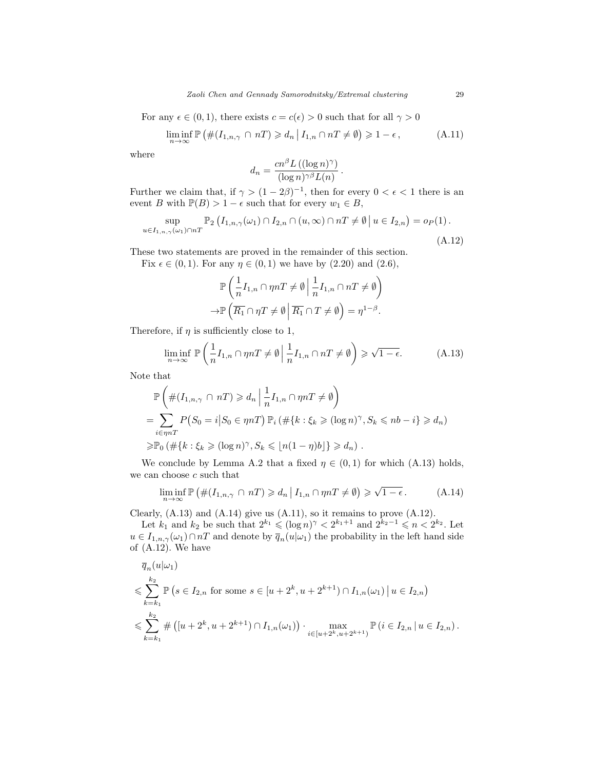For any  $\epsilon \in (0,1)$ , there exists  $c = c(\epsilon) > 0$  such that for all  $\gamma > 0$ 

$$
\liminf_{n \to \infty} \mathbb{P}\left(\#(I_{1,n,\gamma} \cap nT) \geq d_n \, \big| \, I_{1,n} \cap nT \neq \emptyset\right) \geq 1 - \epsilon\,,\tag{A.11}
$$

where

$$
d_n = \frac{cn^{\beta} L\left((\log n)^{\gamma}\right)}{(\log n)^{\gamma \beta} L(n)}.
$$

Further we claim that, if  $\gamma > (1 - 2\beta)^{-1}$ , then for every  $0 < \epsilon < 1$  there is an event B with  $\mathbb{P}(B) > 1 - \epsilon$  such that for every  $w_1 \in B$ ,

$$
\sup_{u \in I_{1,n,\gamma}(\omega_1) \cap nT} \mathbb{P}_2\left(I_{1,n,\gamma}(\omega_1) \cap I_{2,n} \cap (u,\infty) \cap nT \neq \emptyset \mid u \in I_{2,n}\right) = o_P(1).
$$
\n(A.12)

These two statements are proved in the remainder of this section.

Fix  $\epsilon \in (0, 1)$ . For any  $\eta \in (0, 1)$  we have by  $(2.20)$  and  $(2.6)$ ,

$$
\mathbb{P}\left(\frac{1}{n}I_{1,n}\cap\eta nT\neq\emptyset\bigg|\frac{1}{n}I_{1,n}\cap nT\neq\emptyset\right)
$$

$$
\to\mathbb{P}\left(\overline{R_1}\cap\eta T\neq\emptyset\bigg|\overline{R_1}\cap T\neq\emptyset\right)=\eta^{1-\beta}.
$$

Therefore, if  $\eta$  is sufficiently close to 1,

$$
\liminf_{n \to \infty} \mathbb{P}\left(\frac{1}{n}I_{1,n} \cap \eta nT \neq \emptyset \mid \frac{1}{n}I_{1,n} \cap nT \neq \emptyset\right) \geq \sqrt{1 - \epsilon}.\tag{A.13}
$$

Note that

$$
\mathbb{P}\left(\#(I_{1,n,\gamma}\cap nT)\geq d_n \mid \frac{1}{n}I_{1,n}\cap \eta nT \neq \emptyset\right)
$$
\n
$$
=\sum_{i\in\eta nT} P(S_0=i|S_0\in \eta nT)\mathbb{P}_i\left(\#\{k:\xi_k\geqslant (\log n)^\gamma, S_k\leqslant nb-i\}\geqslant d_n\right)
$$
\n
$$
\geqslant \mathbb{P}_0\left(\#\{k:\xi_k\geqslant (\log n)^\gamma, S_k\leqslant \lfloor n(1-\eta)b\rfloor\}\geqslant d_n\right).
$$

We conclude by Lemma A.2 that a fixed  $\eta \in (0,1)$  for which (A.13) holds, we can choose  $\boldsymbol{c}$  such that

$$
\liminf_{n \to \infty} \mathbb{P}\left(\#(I_{1,n,\gamma} \cap nT) \geq d_n \, \big| \, I_{1,n} \cap \eta nT \neq \emptyset\right) \geq \sqrt{1 - \epsilon} \,. \tag{A.14}
$$

Clearly,  $(A.13)$  and  $(A.14)$  give us  $(A.11)$ , so it remains to prove  $(A.12)$ .

Let  $k_1$  and  $k_2$  be such that  $2^{k_1} \leqslant (\log n)^{\gamma} < 2^{k_1+1}$  and  $2^{k_2-1} \leqslant n < 2^{k_2}$ . Let  $u \in I_{1,n,\gamma}(\omega_1) \cap nT$  and denote by  $\overline{q}_n(u|\omega_1)$  the probability in the left hand side of (A.12). We have

$$
\overline{q}_n(u|\omega_1)
$$
\n
$$
\leq \sum_{k=k_1}^{k_2} \mathbb{P}\left(s \in I_{2,n} \text{ for some } s \in [u+2^k, u+2^{k+1}) \cap I_{1,n}(\omega_1) \mid u \in I_{2,n}\right)
$$
\n
$$
\leq \sum_{k=k_1}^{k_2} \# \left([u+2^k, u+2^{k+1}) \cap I_{1,n}(\omega_1)\right) \cdot \max_{i \in [u+2^k, u+2^{k+1})} \mathbb{P}\left(i \in I_{2,n} \mid u \in I_{2,n}\right).
$$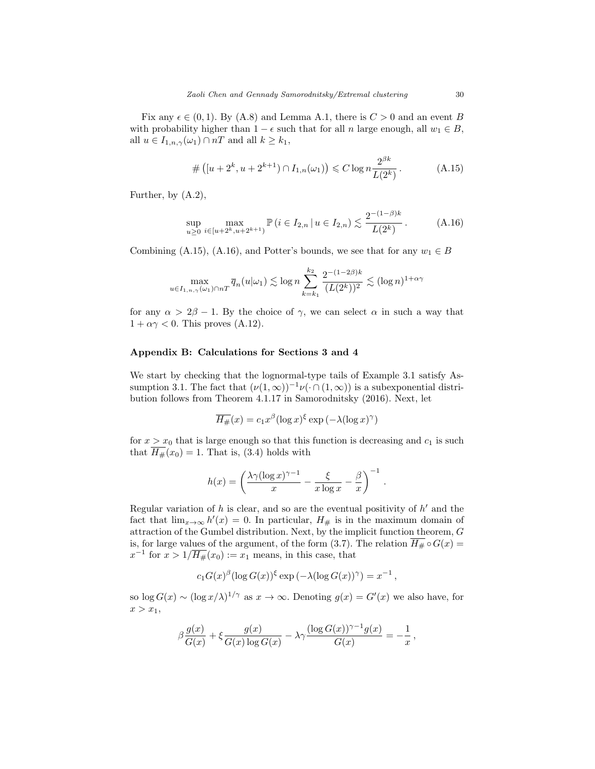Fix any  $\epsilon \in (0,1)$ . By (A.8) and Lemma A.1, there is  $C > 0$  and an event B with probability higher than  $1 - \epsilon$  such that for all n large enough, all  $w_1 \in B$ , all  $u \in I_{1,n,\gamma}(\omega_1) \cap nT$  and all  $k \geq k_1$ ,

$$
\#([u+2^k, u+2^{k+1}) \cap I_{1,n}(\omega_1)) \leq C \log n \frac{2^{\beta k}}{L(2^k)}.
$$
 (A.15)

Further, by (A.2),

$$
\sup_{u\geq 0} \max_{i\in[u+2^k, u+2^{k+1})} \mathbb{P}\left(i \in I_{2,n} \,|\, u \in I_{2,n}\right) \lesssim \frac{2^{-(1-\beta)k}}{L(2^k)}\,. \tag{A.16}
$$

Combining (A.15), (A.16), and Potter's bounds, we see that for any  $w_1 \in B$ 

$$
\max_{u \in I_{1,n,\gamma}(\omega_1) \cap nT} \overline{q}_n(u|\omega_1) \lesssim \log n \sum_{k=k_1}^{k_2} \frac{2^{-(1-2\beta)k}}{(L(2^k))^2} \lesssim (\log n)^{1+\alpha\gamma}
$$

for any  $\alpha > 2\beta - 1$ . By the choice of  $\gamma$ , we can select  $\alpha$  in such a way that  $1 + \alpha \gamma < 0$ . This proves (A.12).

## Appendix B: Calculations for Sections 3 and 4

We start by checking that the lognormal-type tails of Example 3.1 satisfy Assumption 3.1. The fact that  $(\nu(1,\infty))^{-1}\nu(\cdot\cap(1,\infty))$  is a subexponential distribution follows from Theorem 4.1.17 in Samorodnitsky (2016). Next, let

$$
\overline{H_{\#}}(x) = c_1 x^{\beta} (\log x)^{\xi} \exp \left( -\lambda (\log x)^{\gamma} \right)
$$

for  $x > x_0$  that is large enough so that this function is decreasing and  $c_1$  is such that  $\overline{H_{\#}}(x_0) = 1$ . That is, (3.4) holds with

$$
h(x) = \left(\frac{\lambda \gamma (\log x)^{\gamma - 1}}{x} - \frac{\xi}{x \log x} - \frac{\beta}{x}\right)^{-1}
$$

.

Regular variation of  $h$  is clear, and so are the eventual positivity of  $h'$  and the fact that  $\lim_{x\to\infty} h'(x) = 0$ . In particular,  $H_{\#}$  is in the maximum domain of attraction of the Gumbel distribution. Next, by the implicit function theorem, G is, for large values of the argument, of the form (3.7). The relation  $\overline{H_{\#}} \circ G(x) =$  $x^{-1}$  for  $x > 1/\overline{H_{\#}}(x_0) := x_1$  means, in this case, that

$$
c_1 G(x)^{\beta} (\log G(x))^{\xi} \exp \left(-\lambda (\log G(x))^{\gamma}\right) = x^{-1},
$$

so  $\log G(x) \sim (\log x/\lambda)^{1/\gamma}$  as  $x \to \infty$ . Denoting  $g(x) = G'(x)$  we also have, for  $x > x_1$ ,

$$
\beta \frac{g(x)}{G(x)} + \xi \frac{g(x)}{G(x) \log G(x)} - \lambda \gamma \frac{(\log G(x))^{\gamma - 1} g(x)}{G(x)} = -\frac{1}{x},
$$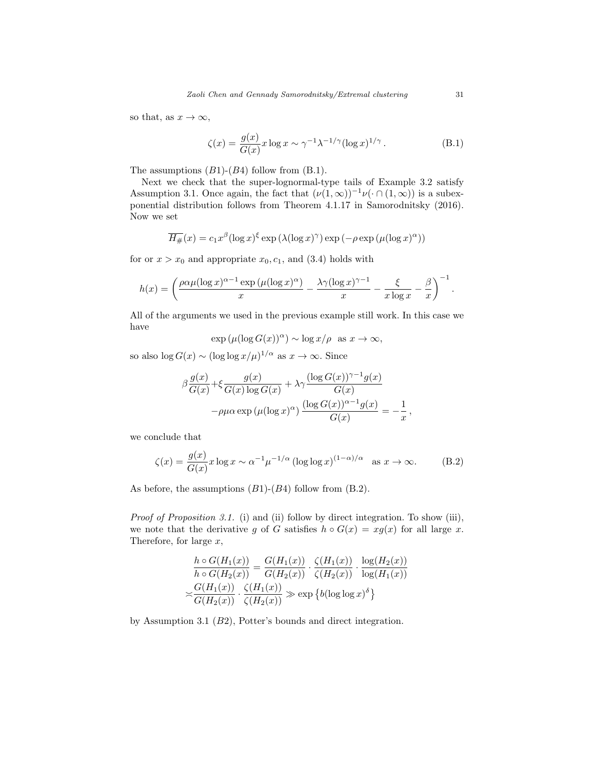so that, as  $x \to \infty$ ,

$$
\zeta(x) = \frac{g(x)}{G(x)} x \log x \sim \gamma^{-1} \lambda^{-1/\gamma} (\log x)^{1/\gamma} . \tag{B.1}
$$

The assumptions  $(B1)-(B4)$  follow from  $(B.1)$ .

Next we check that the super-lognormal-type tails of Example 3.2 satisfy Assumption 3.1. Once again, the fact that  $(\nu(1,\infty))^{-1}\nu(\cdot\cap(1,\infty))$  is a subexponential distribution follows from Theorem 4.1.17 in Samorodnitsky (2016). Now we set

$$
\overline{H_{\#}}(x) = c_1 x^{\beta} (\log x)^{\xi} \exp \left(\lambda (\log x)^{\gamma}\right) \exp \left(-\rho \exp \left(\mu (\log x)^{\alpha}\right)\right)
$$

for or  $x > x_0$  and appropriate  $x_0, c_1$ , and (3.4) holds with

$$
h(x) = \left(\frac{\rho \alpha \mu (\log x)^{\alpha - 1} \exp \left(\mu (\log x)^{\alpha}\right)}{x} - \frac{\lambda \gamma (\log x)^{\gamma - 1}}{x} - \frac{\xi}{x \log x} - \frac{\beta}{x}\right)^{-1}.
$$

All of the arguments we used in the previous example still work. In this case we have

$$
\exp\left(\mu(\log G(x))^{\alpha}\right) \sim \log x/\rho \text{ as } x \to \infty,
$$

so also  $\log G(x) \sim (\log \log x/\mu)^{1/\alpha}$  as  $x \to \infty$ . Since

$$
\beta \frac{g(x)}{G(x)} + \xi \frac{g(x)}{G(x) \log G(x)} + \lambda \gamma \frac{(\log G(x))^{\gamma - 1} g(x)}{G(x)}
$$

$$
-\rho \mu \alpha \exp \left(\mu (\log x)^{\alpha}\right) \frac{(\log G(x))^{\alpha - 1} g(x)}{G(x)} = -\frac{1}{x}
$$

we conclude that

$$
\zeta(x) = \frac{g(x)}{G(x)} x \log x \sim \alpha^{-1} \mu^{-1/\alpha} \left( \log \log x \right)^{(1-\alpha)/\alpha} \quad \text{as } x \to \infty. \tag{B.2}
$$

,

As before, the assumptions  $(B1)-(B4)$  follow from  $(B.2)$ .

Proof of Proposition 3.1. (i) and (ii) follow by direct integration. To show (iii), we note that the derivative g of G satisfies  $h \circ G(x) = xg(x)$  for all large x. Therefore, for large  $x$ ,

$$
\frac{h \circ G(H_1(x))}{h \circ G(H_2(x))} = \frac{G(H_1(x))}{G(H_2(x))} \cdot \frac{\zeta(H_1(x))}{\zeta(H_2(x))} \cdot \frac{\log(H_2(x))}{\log(H_1(x))}
$$

$$
\approx \frac{G(H_1(x))}{G(H_2(x))} \cdot \frac{\zeta(H_1(x))}{\zeta(H_2(x))} \gg \exp\left\{b(\log\log x)^{\delta}\right\}
$$

by Assumption 3.1 (B2), Potter's bounds and direct integration.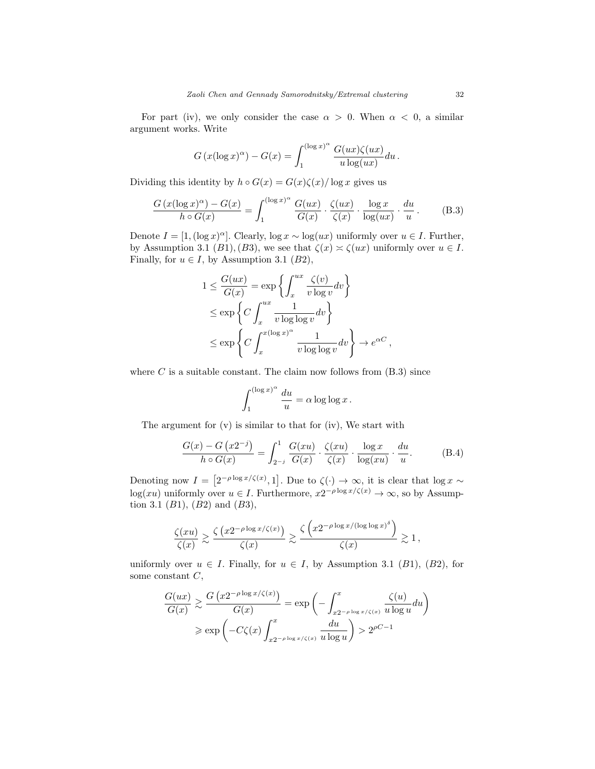For part (iv), we only consider the case  $\alpha > 0$ . When  $\alpha < 0$ , a similar argument works. Write

$$
G(x(\log x)^{\alpha}) - G(x) = \int_{1}^{(\log x)^{\alpha}} \frac{G(ux)\zeta(ux)}{u \log(ux)} du.
$$

Dividing this identity by  $h \circ G(x) = G(x)\zeta(x)/\log x$  gives us

$$
\frac{G(x(\log x)^{\alpha}) - G(x)}{h \circ G(x)} = \int_{1}^{(\log x)^{\alpha}} \frac{G(ux)}{G(x)} \cdot \frac{\zeta(ux)}{\zeta(x)} \cdot \frac{\log x}{\log(ux)} \cdot \frac{du}{u}.
$$
 (B.3)

Denote  $I = [1, (\log x)^{\alpha}]$ . Clearly,  $\log x \sim \log(ux)$  uniformly over  $u \in I$ . Further, by Assumption 3.1 (B1), (B3), we see that  $\zeta(x) \approx \zeta(ux)$  uniformly over  $u \in I$ . Finally, for  $u \in I$ , by Assumption 3.1 (B2),

$$
1 \leq \frac{G(ux)}{G(x)} = \exp\left\{ \int_x^{ux} \frac{\zeta(v)}{v \log v} dv \right\}
$$
  
\n
$$
\leq \exp\left\{ C \int_x^{ux} \frac{1}{v \log \log v} dv \right\}
$$
  
\n
$$
\leq \exp\left\{ C \int_x^{x(\log x)^\alpha} \frac{1}{v \log \log v} dv \right\} \to e^{\alpha C},
$$

where  $C$  is a suitable constant. The claim now follows from  $(B.3)$  since

$$
\int_1^{(\log x)^\alpha} \frac{du}{u} = \alpha \log \log x.
$$

The argument for  $(v)$  is similar to that for  $(iv)$ , We start with

$$
\frac{G(x) - G(x2^{-j})}{h \circ G(x)} = \int_{2^{-j}}^{1} \frac{G(xu)}{G(x)} \cdot \frac{\zeta(xu)}{\zeta(x)} \cdot \frac{\log x}{\log(xu)} \cdot \frac{du}{u}.
$$
 (B.4)

Denoting now  $I = \left[2^{-\rho \log x/\zeta(x)}, 1\right]$ . Due to  $\zeta(\cdot) \to \infty$ , it is clear that  $\log x \sim$  $log(xu)$  uniformly over  $u \in I$ . Furthermore,  $x2^{-\rho \log x/\zeta(x)} \to \infty$ , so by Assumption 3.1  $(B1)$ ,  $(B2)$  and  $(B3)$ ,

$$
\frac{\zeta(xu)}{\zeta(x)} \gtrsim \frac{\zeta\left(x2^{-\rho \log x/\zeta(x)}\right)}{\zeta(x)} \gtrsim \frac{\zeta\left(x2^{-\rho \log x/(\log \log x)^\delta}\right)}{\zeta(x)} \gtrsim 1,
$$

uniformly over  $u \in I$ . Finally, for  $u \in I$ , by Assumption 3.1 (B1), (B2), for some constant  $C$ ,

$$
\frac{G(ux)}{G(x)} \gtrsim \frac{G(x2^{-\rho \log x/\zeta(x)})}{G(x)} = \exp\left(-\int_{x2^{-\rho \log x/\zeta(x)}}^{x} \frac{\zeta(u)}{u \log u} du\right)
$$

$$
\ge \exp\left(-C\zeta(x)\int_{x2^{-\rho \log x/\zeta(x)}}^{x} \frac{du}{u \log u}\right) > 2^{\rho C - 1}
$$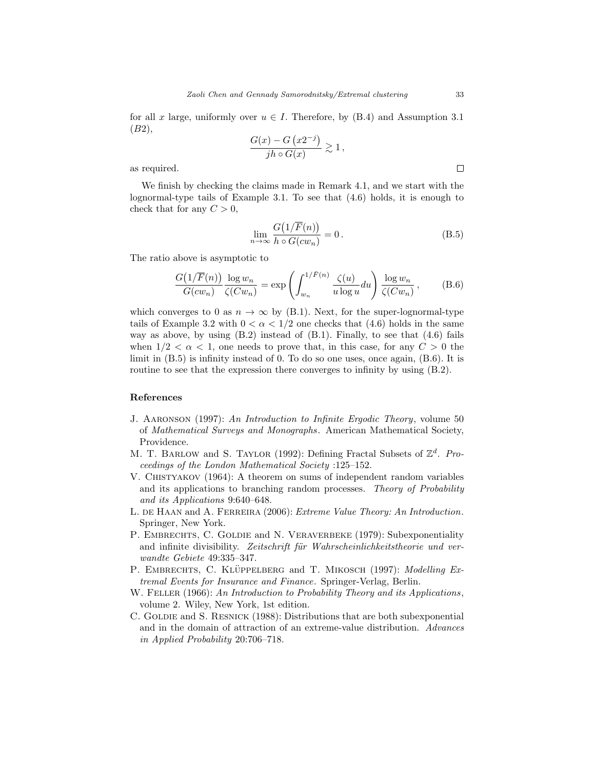for all x large, uniformly over  $u \in I$ . Therefore, by (B.4) and Assumption 3.1 (B2),

$$
\frac{G(x) - G(x2^{-j})}{jh \circ G(x)} \gtrsim 1,
$$

as required.

We finish by checking the claims made in Remark 4.1, and we start with the lognormal-type tails of Example 3.1. To see that (4.6) holds, it is enough to check that for any  $C > 0$ ,

$$
\lim_{n \to \infty} \frac{G\left(1/\overline{F}(n)\right)}{h \circ G(cw_n)} = 0. \tag{B.5}
$$

The ratio above is asymptotic to

$$
\frac{G\left(1/\overline{F}(n)\right)}{G(cw_n)}\frac{\log w_n}{\zeta(Cw_n)} = \exp\left(\int_{w_n}^{1/\overline{F}(n)} \frac{\zeta(u)}{u \log u} du\right) \frac{\log w_n}{\zeta(Cw_n)},\tag{B.6}
$$

which converges to 0 as  $n \to \infty$  by (B.1). Next, for the super-lognormal-type tails of Example 3.2 with  $0 < \alpha < 1/2$  one checks that (4.6) holds in the same way as above, by using  $(B.2)$  instead of  $(B.1)$ . Finally, to see that  $(4.6)$  fails when  $1/2 < \alpha < 1$ , one needs to prove that, in this case, for any  $C > 0$  the limit in (B.5) is infinity instead of 0. To do so one uses, once again, (B.6). It is routine to see that the expression there converges to infinity by using  $(B.2)$ .

#### References

- J. Aaronson (1997): An Introduction to Infinite Ergodic Theory, volume 50 of Mathematical Surveys and Monographs. American Mathematical Society, Providence.
- M. T. BARLOW and S. TAYLOR (1992): Defining Fractal Subsets of  $\mathbb{Z}^d$ . Proceedings of the London Mathematical Society :125–152.
- V. Chistyakov (1964): A theorem on sums of independent random variables and its applications to branching random processes. Theory of Probability and its Applications 9:640–648.
- L. DE HAAN and A. FERREIRA (2006): Extreme Value Theory: An Introduction. Springer, New York.
- P. EMBRECHTS, C. GOLDIE and N. VERAVERBEKE (1979): Subexponentiality and infinite divisibility. Zeitschrift für Wahrscheinlichkeitstheorie und verwandte Gebiete 49:335–347.
- P. EMBRECHTS, C. KLÜPPELBERG and T. MIKOSCH (1997): Modelling Extremal Events for Insurance and Finance. Springer-Verlag, Berlin.
- W. FELLER (1966): An Introduction to Probability Theory and its Applications, volume 2. Wiley, New York, 1st edition.
- C. GOLDIE and S. RESNICK (1988): Distributions that are both subexponential and in the domain of attraction of an extreme-value distribution. Advances in Applied Probability 20:706–718.

 $\Box$